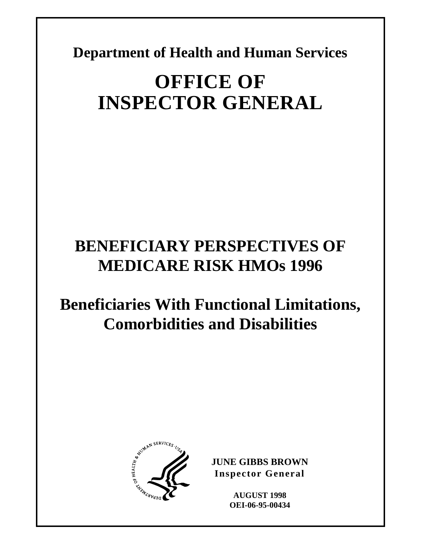**Department of Health and Human Services** 

# **OFFICE OF INSPECTOR GENERAL**

# **BENEFICIARY PERSPECTIVES OF MEDICARE RISK HMOs 1996**

# **Beneficiaries With Functional Limitations, Comorbidities and Disabilities**



**JUNE GIBBS BROWN Inspector General** 

> **AUGUST 1998 OEI-06-95-00434**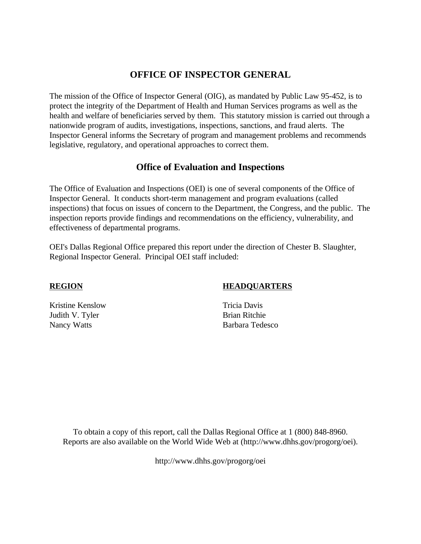# **OFFICE OF INSPECTOR GENERAL**

The mission of the Office of Inspector General (OIG), as mandated by Public Law 95-452, is to protect the integrity of the Department of Health and Human Services programs as well as the health and welfare of beneficiaries served by them. This statutory mission is carried out through a nationwide program of audits, investigations, inspections, sanctions, and fraud alerts. The Inspector General informs the Secretary of program and management problems and recommends legislative, regulatory, and operational approaches to correct them.

# **Office of Evaluation and Inspections**

The Office of Evaluation and Inspections (OEI) is one of several components of the Office of Inspector General. It conducts short-term management and program evaluations (called inspections) that focus on issues of concern to the Department, the Congress, and the public. The inspection reports provide findings and recommendations on the efficiency, vulnerability, and effectiveness of departmental programs.

OEI's Dallas Regional Office prepared this report under the direction of Chester B. Slaughter, Regional Inspector General. Principal OEI staff included:

#### **REGION HEADQUARTERS**

Kristine Kenslow Tricia Davis Judith V. Tyler Brian Ritchie Nancy Watts Barbara Tedesco

To obtain a copy of this report, call the Dallas Regional Office at 1 (800) 848-8960. Reports are also available on the World Wide Web at (http://www.dhhs.gov/progorg/oei).

http://www.dhhs.gov/progorg/oei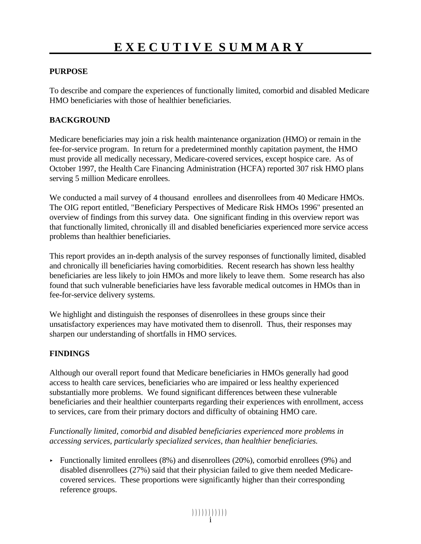#### **PURPOSE**

To describe and compare the experiences of functionally limited, comorbid and disabled Medicare HMO beneficiaries with those of healthier beneficiaries.

#### **BACKGROUND**

Medicare beneficiaries may join a risk health maintenance organization (HMO) or remain in the fee-for-service program. In return for a predetermined monthly capitation payment, the HMO must provide all medically necessary, Medicare-covered services, except hospice care. As of October 1997, the Health Care Financing Administration (HCFA) reported 307 risk HMO plans serving 5 million Medicare enrollees.

We conducted a mail survey of 4 thousand enrollees and disenrollees from 40 Medicare HMOs. The OIG report entitled, "Beneficiary Perspectives of Medicare Risk HMOs 1996" presented an overview of findings from this survey data. One significant finding in this overview report was that functionally limited, chronically ill and disabled beneficiaries experienced more service access problems than healthier beneficiaries.

This report provides an in-depth analysis of the survey responses of functionally limited, disabled and chronically ill beneficiaries having comorbidities. Recent research has shown less healthy beneficiaries are less likely to join HMOs and more likely to leave them. Some research has also found that such vulnerable beneficiaries have less favorable medical outcomes in HMOs than in fee-for-service delivery systems.

We highlight and distinguish the responses of disenrollees in these groups since their unsatisfactory experiences may have motivated them to disenroll. Thus, their responses may sharpen our understanding of shortfalls in HMO services.

#### **FINDINGS**

Although our overall report found that Medicare beneficiaries in HMOs generally had good access to health care services, beneficiaries who are impaired or less healthy experienced substantially more problems. We found significant differences between these vulnerable beneficiaries and their healthier counterparts regarding their experiences with enrollment, access to services, care from their primary doctors and difficulty of obtaining HMO care.

*Functionally limited, comorbid and disabled beneficiaries experienced more problems in accessing services, particularly specialized services, than healthier beneficiaries.* 

Functionally limited enrollees  $(8\%)$  and disenrollees  $(20\%)$ , comorbid enrollees  $(9\%)$  and disabled disenrollees (27%) said that their physician failed to give them needed Medicarecovered services. These proportions were significantly higher than their corresponding reference groups.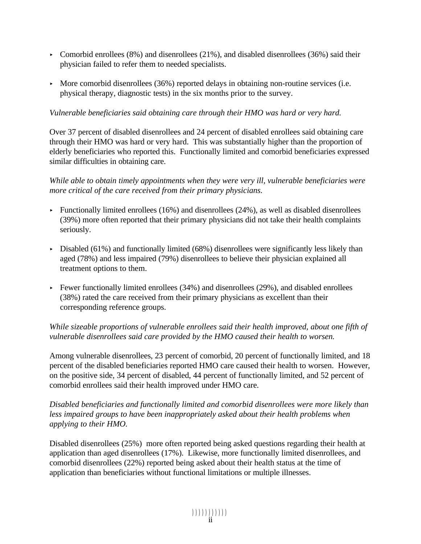- Comorbid enrollees (8%) and disenrollees (21%), and disabled disenrollees (36%) said their physician failed to refer them to needed specialists.
- $\blacktriangleright$  More comorbid disenrollees (36%) reported delays in obtaining non-routine services (i.e. physical therapy, diagnostic tests) in the six months prior to the survey.

#### *Vulnerable beneficiaries said obtaining care through their HMO was hard or very hard.*

Over 37 percent of disabled disenrollees and 24 percent of disabled enrollees said obtaining care through their HMO was hard or very hard. This was substantially higher than the proportion of elderly beneficiaries who reported this. Functionally limited and comorbid beneficiaries expressed similar difficulties in obtaining care.

#### *While able to obtain timely appointments when they were very ill, vulnerable beneficiaries were more critical of the care received from their primary physicians.*

- Functionally limited enrollees  $(16%)$  and disenrollees  $(24%)$ , as well as disabled disenrollees (39%) more often reported that their primary physicians did not take their health complaints seriously.
- $\triangleright$  Disabled (61%) and functionally limited (68%) disenrollees were significantly less likely than aged (78%) and less impaired (79%) disenrollees to believe their physician explained all treatment options to them.
- Fewer functionally limited enrollees  $(34%)$  and disenrollees  $(29%)$ , and disabled enrollees (38%) rated the care received from their primary physicians as excellent than their corresponding reference groups.

### *While sizeable proportions of vulnerable enrollees said their health improved, about one fifth of vulnerable disenrollees said care provided by the HMO caused their health to worsen.*

Among vulnerable disenrollees, 23 percent of comorbid, 20 percent of functionally limited, and 18 percent of the disabled beneficiaries reported HMO care caused their health to worsen. However, on the positive side, 34 percent of disabled, 44 percent of functionally limited, and 52 percent of comorbid enrollees said their health improved under HMO care.

*Disabled beneficiaries and functionally limited and comorbid disenrollees were more likely than less impaired groups to have been inappropriately asked about their health problems when applying to their HMO.* 

Disabled disenrollees (25%) more often reported being asked questions regarding their health at application than aged disenrollees (17%). Likewise, more functionally limited disenrollees, and comorbid disenrollees (22%) reported being asked about their health status at the time of application than beneficiaries without functional limitations or multiple illnesses.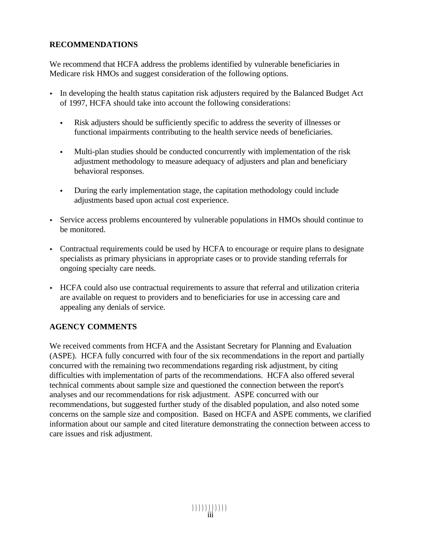#### **RECOMMENDATIONS**

We recommend that HCFA address the problems identified by vulnerable beneficiaries in Medicare risk HMOs and suggest consideration of the following options.

- $\triangleright$  In developing the health status capitation risk adjusters required by the Balanced Budget Act of 1997, HCFA should take into account the following considerations:
	- C Risk adjusters should be sufficiently specific to address the severity of illnesses or functional impairments contributing to the health service needs of beneficiaries.
	- Multi-plan studies should be conducted concurrently with implementation of the risk adjustment methodology to measure adequacy of adjusters and plan and beneficiary behavioral responses.
	- During the early implementation stage, the capitation methodology could include adjustments based upon actual cost experience.
- < Service access problems encountered by vulnerable populations in HMOs should continue to be monitored.
- Contractual requirements could be used by HCFA to encourage or require plans to designate specialists as primary physicians in appropriate cases or to provide standing referrals for ongoing specialty care needs.
- < HCFA could also use contractual requirements to assure that referral and utilization criteria are available on request to providers and to beneficiaries for use in accessing care and appealing any denials of service.

### **AGENCY COMMENTS**

We received comments from HCFA and the Assistant Secretary for Planning and Evaluation (ASPE). HCFA fully concurred with four of the six recommendations in the report and partially concurred with the remaining two recommendations regarding risk adjustment, by citing difficulties with implementation of parts of the recommendations. HCFA also offered several technical comments about sample size and questioned the connection between the report's analyses and our recommendations for risk adjustment. ASPE concurred with our recommendations, but suggested further study of the disabled population, and also noted some concerns on the sample size and composition. Based on HCFA and ASPE comments, we clarified information about our sample and cited literature demonstrating the connection between access to care issues and risk adjustment.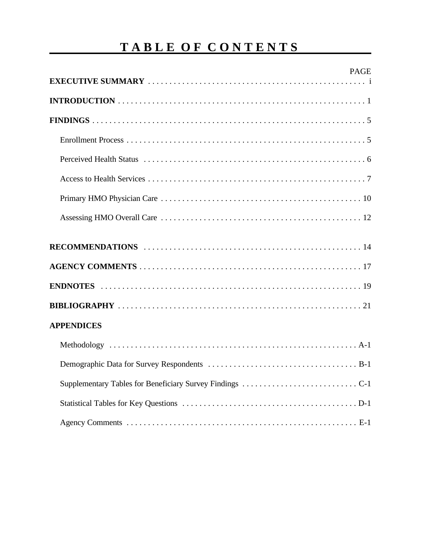# **TABLE OF CONTENTS**

| <b>PAGE</b>       |
|-------------------|
|                   |
|                   |
|                   |
|                   |
|                   |
|                   |
|                   |
|                   |
|                   |
|                   |
|                   |
| <b>APPENDICES</b> |
|                   |
|                   |
|                   |
|                   |
|                   |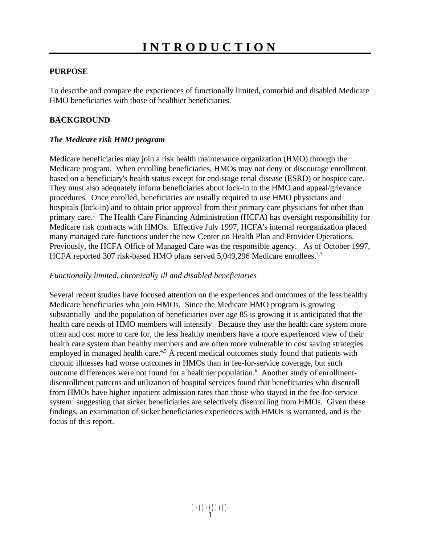#### **PURPOSE**

To describe and compare the experiences of functionally limited, comorbid and disabled Medicare HMO beneficiaries with those of healthier beneficiaries.

#### **BACKGROUND**

#### *The Medicare risk HMO program*

Medicare beneficiaries may join a risk health maintenance organization (HMO) through the Medicare program. When enrolling beneficiaries, HMOs may not deny or discourage enrollment based on a beneficiary's health status except for end-stage renal disease (ESRD) or hospice care. They must also adequately inform beneficiaries about lock-in to the HMO and appeal/grievance procedures. Once enrolled, beneficiaries are usually required to use HMO physicians and hospitals (lock-in) and to obtain prior approval from their primary care physicians for other than primary care.<sup>1</sup> The Health Care Financing Administration (HCFA) has oversight responsibility for Medicare risk contracts with HMOs. Effective July 1997, HCFA's internal reorganization placed many managed care functions under the new Center on Health Plan and Provider Operations. Previously, the HCFA Office of Managed Care was the responsible agency. As of October 1997, HCFA reported 307 risk-based HMO plans served 5,049,296 Medicare enrollees.<sup>2,3</sup>

#### *Functionally limited, chronically ill and disabled beneficiaries*

Several recent studies have focused attention on the experiences and outcomes of the less healthy Medicare beneficiaries who join HMOs. Since the Medicare HMO program is growing substantially and the population of beneficiaries over age 85 is growing it is anticipated that the health care needs of HMO members will intensify. Because they use the health care system more often and cost more to care for, the less healthy members have a more experienced view of their health care system than healthy members and are often more vulnerable to cost saving strategies employed in managed health care.<sup>4,5</sup> A recent medical outcomes study found that patients with chronic illnesses had worse outcomes in HMOs than in fee-for-service coverage, but such outcome differences were not found for a healthier population.<sup>6</sup> Another study of enrollmentdisenrollment patterns and utilization of hospital services found that beneficiaries who disenroll from HMOs have higher inpatient admission rates than those who stayed in the fee-for-service system<sup>7</sup> suggesting that sicker beneficiaries are selectively disenrolling from HMOs. Given these findings, an examination of sicker beneficiaries experiences with HMOs is warranted, and is the focus of this report.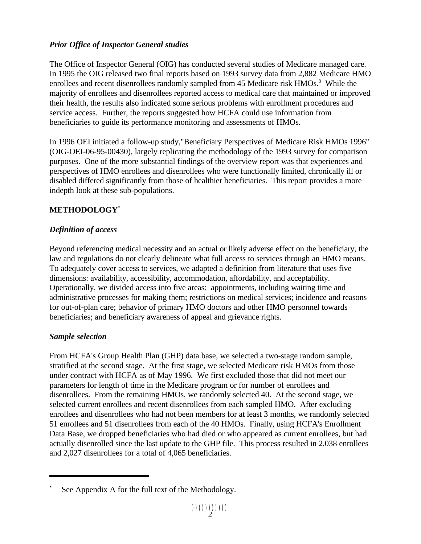### *Prior Office of Inspector General studies*

The Office of Inspector General (OIG) has conducted several studies of Medicare managed care. In 1995 the OIG released two final reports based on 1993 survey data from 2,882 Medicare HMO enrollees and recent disenrollees randomly sampled from 45 Medicare risk HMOs.<sup>8</sup> While the majority of enrollees and disenrollees reported access to medical care that maintained or improved their health, the results also indicated some serious problems with enrollment procedures and service access. Further, the reports suggested how HCFA could use information from beneficiaries to guide its performance monitoring and assessments of HMOs.

In 1996 OEI initiated a follow-up study,"Beneficiary Perspectives of Medicare Risk HMOs 1996" (OIG-OEI-06-95-00430), largely replicating the methodology of the 1993 survey for comparison purposes. One of the more substantial findings of the overview report was that experiences and perspectives of HMO enrollees and disenrollees who were functionally limited, chronically ill or disabled differed significantly from those of healthier beneficiaries. This report provides a more indepth look at these sub-populations.

# **METHODOLOGY**\*

### *Definition of access*

Beyond referencing medical necessity and an actual or likely adverse effect on the beneficiary, the law and regulations do not clearly delineate what full access to services through an HMO means. To adequately cover access to services, we adapted a definition from literature that uses five dimensions: availability, accessibility, accommodation, affordability, and acceptability. Operationally, we divided access into five areas: appointments, including waiting time and administrative processes for making them; restrictions on medical services; incidence and reasons for out-of-plan care; behavior of primary HMO doctors and other HMO personnel towards beneficiaries; and beneficiary awareness of appeal and grievance rights.

### *Sample selection*

From HCFA's Group Health Plan (GHP) data base, we selected a two-stage random sample, stratified at the second stage. At the first stage, we selected Medicare risk HMOs from those under contract with HCFA as of May 1996. We first excluded those that did not meet our parameters for length of time in the Medicare program or for number of enrollees and disenrollees. From the remaining HMOs, we randomly selected 40. At the second stage, we selected current enrollees and recent disenrollees from each sampled HMO. After excluding enrollees and disenrollees who had not been members for at least 3 months, we randomly selected 51 enrollees and 51 disenrollees from each of the 40 HMOs. Finally, using HCFA's Enrollment Data Base, we dropped beneficiaries who had died or who appeared as current enrollees, but had actually disenrolled since the last update to the GHP file. This process resulted in 2,038 enrollees and 2,027 disenrollees for a total of 4,065 beneficiaries.

See Appendix A for the full text of the Methodology.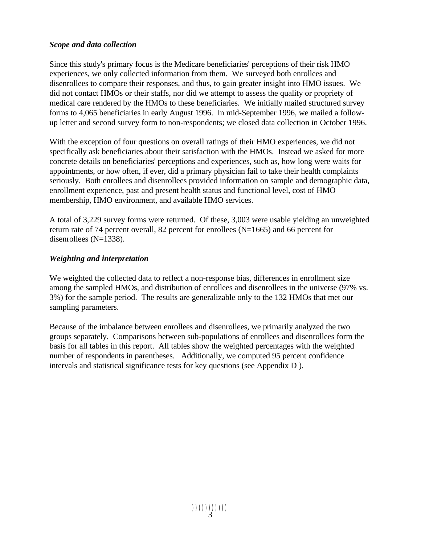#### *Scope and data collection*

Since this study's primary focus is the Medicare beneficiaries' perceptions of their risk HMO experiences, we only collected information from them. We surveyed both enrollees and disenrollees to compare their responses, and thus, to gain greater insight into HMO issues. We did not contact HMOs or their staffs, nor did we attempt to assess the quality or propriety of medical care rendered by the HMOs to these beneficiaries. We initially mailed structured survey forms to 4,065 beneficiaries in early August 1996. In mid-September 1996, we mailed a followup letter and second survey form to non-respondents; we closed data collection in October 1996.

With the exception of four questions on overall ratings of their HMO experiences, we did not specifically ask beneficiaries about their satisfaction with the HMOs. Instead we asked for more concrete details on beneficiaries' perceptions and experiences, such as, how long were waits for appointments, or how often, if ever, did a primary physician fail to take their health complaints seriously. Both enrollees and disenrollees provided information on sample and demographic data, enrollment experience, past and present health status and functional level, cost of HMO membership, HMO environment, and available HMO services.

A total of 3,229 survey forms were returned. Of these, 3,003 were usable yielding an unweighted return rate of 74 percent overall, 82 percent for enrollees (N=1665) and 66 percent for disenrollees (N=1338).

#### *Weighting and interpretation*

We weighted the collected data to reflect a non-response bias, differences in enrollment size among the sampled HMOs, and distribution of enrollees and disenrollees in the universe (97% vs. 3%) for the sample period. The results are generalizable only to the 132 HMOs that met our sampling parameters.

Because of the imbalance between enrollees and disenrollees, we primarily analyzed the two groups separately. Comparisons between sub-populations of enrollees and disenrollees form the basis for all tables in this report. All tables show the weighted percentages with the weighted number of respondents in parentheses. Additionally, we computed 95 percent confidence intervals and statistical significance tests for key questions (see Appendix D ).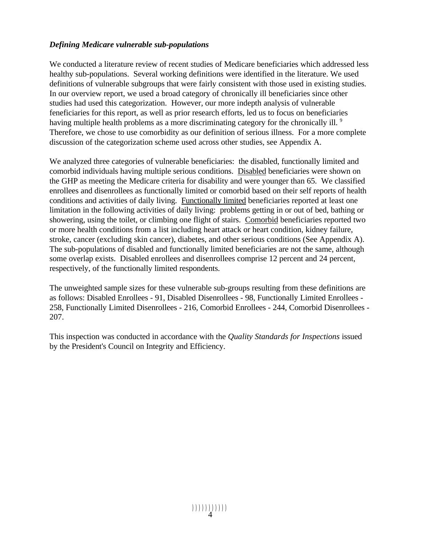#### *Defining Medicare vulnerable sub-populations*

We conducted a literature review of recent studies of Medicare beneficiaries which addressed less healthy sub-populations. Several working definitions were identified in the literature. We used definitions of vulnerable subgroups that were fairly consistent with those used in existing studies. In our overview report, we used a broad category of chronically ill beneficiaries since other studies had used this categorization. However, our more indepth analysis of vulnerable feneficiaries for this report, as well as prior research efforts, led us to focus on beneficiaries having multiple health problems as a more discriminating category for the chronically ill. <sup>9</sup> Therefore, we chose to use comorbidity as our definition of serious illness. For a more complete discussion of the categorization scheme used across other studies, see Appendix A.

We analyzed three categories of vulnerable beneficiaries: the disabled, functionally limited and comorbid individuals having multiple serious conditions. Disabled beneficiaries were shown on the GHP as meeting the Medicare criteria for disability and were younger than 65. We classified enrollees and disenrollees as functionally limited or comorbid based on their self reports of health conditions and activities of daily living. Functionally limited beneficiaries reported at least one limitation in the following activities of daily living: problems getting in or out of bed, bathing or showering, using the toilet, or climbing one flight of stairs. Comorbid beneficiaries reported two or more health conditions from a list including heart attack or heart condition, kidney failure, stroke, cancer (excluding skin cancer), diabetes, and other serious conditions (See Appendix A). The sub-populations of disabled and functionally limited beneficiaries are not the same, although some overlap exists. Disabled enrollees and disenrollees comprise 12 percent and 24 percent, respectively, of the functionally limited respondents.

The unweighted sample sizes for these vulnerable sub-groups resulting from these definitions are as follows: Disabled Enrollees - 91, Disabled Disenrollees - 98, Functionally Limited Enrollees - 258, Functionally Limited Disenrollees - 216, Comorbid Enrollees - 244, Comorbid Disenrollees - 207.

This inspection was conducted in accordance with the *Quality Standards for Inspections* issued by the President's Council on Integrity and Efficiency.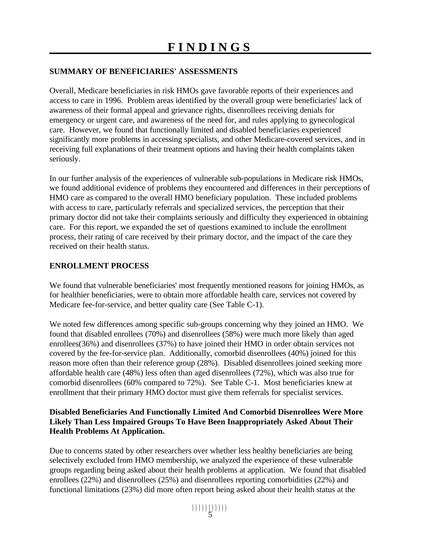#### **SUMMARY OF BENEFICIARIES' ASSESSMENTS**

Overall, Medicare beneficiaries in risk HMOs gave favorable reports of their experiences and access to care in 1996. Problem areas identified by the overall group were beneficiaries' lack of awareness of their formal appeal and grievance rights, disenrollees receiving denials for emergency or urgent care, and awareness of the need for, and rules applying to gynecological care. However, we found that functionally limited and disabled beneficiaries experienced significantly more problems in accessing specialists, and other Medicare-covered services, and in receiving full explanations of their treatment options and having their health complaints taken seriously.

In our further analysis of the experiences of vulnerable sub-populations in Medicare risk HMOs, we found additional evidence of problems they encountered and differences in their perceptions of HMO care as compared to the overall HMO beneficiary population. These included problems with access to care, particularly referrals and specialized services, the perception that their primary doctor did not take their complaints seriously and difficulty they experienced in obtaining care. For this report, we expanded the set of questions examined to include the enrollment process, their rating of care received by their primary doctor, and the impact of the care they received on their health status.

#### **ENROLLMENT PROCESS**

We found that vulnerable beneficiaries' most frequently mentioned reasons for joining HMOs, as for healthier beneficiaries, were to obtain more affordable health care, services not covered by Medicare fee-for-service, and better quality care (See Table C-1).

We noted few differences among specific sub-groups concerning why they joined an HMO. We found that disabled enrollees (70%) and disenrollees (58%) were much more likely than aged enrollees(36%) and disenrollees (37%) to have joined their HMO in order obtain services not covered by the fee-for-service plan. Additionally, comorbid disenrollees (40%) joined for this reason more often than their reference group (28%). Disabled disenrollees joined seeking more affordable health care (48%) less often than aged disenrollees (72%), which was also true for comorbid disenrollees (60% compared to 72%). See Table C-1. Most beneficiaries knew at enrollment that their primary HMO doctor must give them referrals for specialist services.

#### **Disabled Beneficiaries And Functionally Limited And Comorbid Disenrollees Were More Likely Than Less Impaired Groups To Have Been Inappropriately Asked About Their Health Problems At Application.**

Due to concerns stated by other researchers over whether less healthy beneficiaries are being selectively excluded from HMO membership, we analyzed the experience of these vulnerable groups regarding being asked about their health problems at application. We found that disabled enrollees (22%) and disenrollees (25%) and disenrollees reporting comorbidities (22%) and functional limitations (23%) did more often report being asked about their health status at the

))))))))))) 5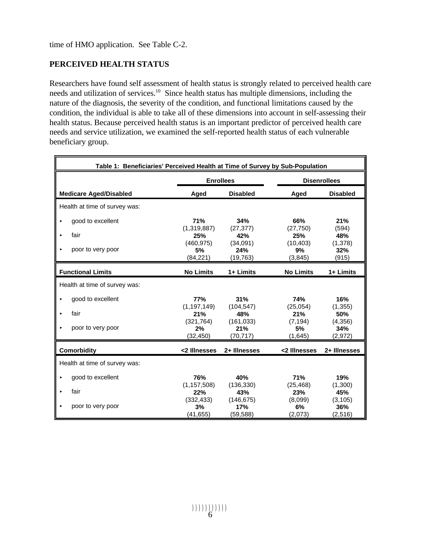### **PERCEIVED HEALTH STATUS**

Researchers have found self assessment of health status is strongly related to perceived health care needs and utilization of services.<sup>10</sup> Since health status has multiple dimensions, including the nature of the diagnosis, the severity of the condition, and functional limitations caused by the condition, the individual is able to take all of these dimensions into account in self-assessing their health status. Because perceived health status is an important predictor of perceived health care needs and service utilization, we examined the self-reported health status of each vulnerable beneficiary group.

| Table 1: Beneficiaries' Perceived Health at Time of Survey by Sub-Population |                               |                                |                            |                             |  |  |
|------------------------------------------------------------------------------|-------------------------------|--------------------------------|----------------------------|-----------------------------|--|--|
|                                                                              | <b>Enrollees</b>              |                                |                            | <b>Disenrollees</b>         |  |  |
| <b>Medicare Aged/Disabled</b>                                                | Aged                          | <b>Disabled</b>                | Aged                       | <b>Disabled</b>             |  |  |
| Health at time of survey was:                                                |                               |                                |                            |                             |  |  |
| good to excellent<br>×                                                       | 71%                           | 34%                            | 66%                        | 21%                         |  |  |
| fair<br>$\blacktriangleright$                                                | (1,319,887)<br>25%            | (27, 377)<br>42%               | (27,750)<br>25%            | (594)<br>48%                |  |  |
| poor to very poor<br>$\blacktriangleright$                                   | (460, 975)<br>5%<br>(84, 221) | (34,091)<br>24%<br>(19, 763)   | (10, 403)<br>9%<br>(3,845) | (1,378)<br>32%<br>(915)     |  |  |
| <b>Functional Limits</b>                                                     | <b>No Limits</b>              | 1+ Limits                      | <b>No Limits</b>           | 1+ Limits                   |  |  |
| Health at time of survey was:                                                |                               |                                |                            |                             |  |  |
| good to excellent<br>$\blacktriangleright$                                   | <b>77%</b><br>(1, 197, 149)   | 31%<br>(104, 547)              | <b>74%</b><br>(25,054)     | 16%<br>(1, 355)             |  |  |
| fair<br>ь                                                                    | 21%                           | 48%                            | 21%                        | 50%                         |  |  |
| poor to very poor<br>▶                                                       | (321, 764)<br>2%<br>(32,450)  | (161, 033)<br>21%<br>(70, 717) | (7, 194)<br>5%<br>(1,645)  | (4,356)<br>34%<br>(2,972)   |  |  |
| <b>Comorbidity</b>                                                           | <2 Illnesses                  | 2+ Illnesses                   | <2 Illnesses               | 2+ Illnesses                |  |  |
| Health at time of survey was:                                                |                               |                                |                            |                             |  |  |
| good to excellent<br>▶                                                       | 76%                           | 40%                            | <b>71%</b>                 | 19%                         |  |  |
| fair<br>$\blacktriangleright$                                                | (1, 157, 508)<br>22%          | (136, 330)<br>43%              | (25, 468)<br>23%           | (1,300)<br>45%              |  |  |
| poor to very poor<br>$\blacktriangleright$                                   | (332, 433)<br>3%<br>(41, 655) | (146, 675)<br>17%<br>(59, 588) | (8,099)<br>6%<br>(2,073)   | (3, 105)<br>36%<br>(2, 516) |  |  |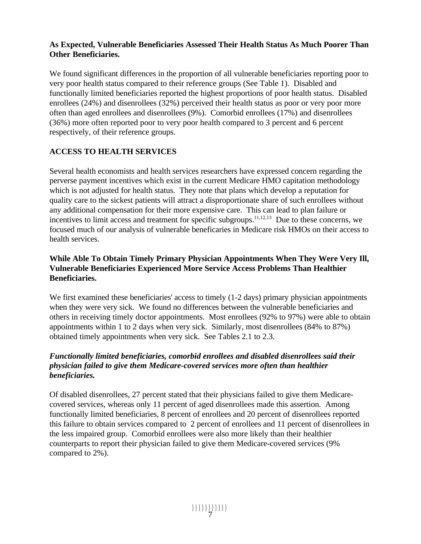#### **As Expected, Vulnerable Beneficiaries Assessed Their Health Status As Much Poorer Than Other Beneficiaries.**

We found significant differences in the proportion of all vulnerable beneficiaries reporting poor to very poor health status compared to their reference groups (See Table 1). Disabled and functionally limited beneficiaries reported the highest proportions of poor health status. Disabled enrollees (24%) and disenrollees (32%) perceived their health status as poor or very poor more often than aged enrollees and disenrollees (9%). Comorbid enrollees (17%) and disenrollees (36%) more often reported poor to very poor health compared to 3 percent and 6 percent respectively, of their reference groups.

### **ACCESS TO HEALTH SERVICES**

Several health economists and health services researchers have expressed concern regarding the perverse payment incentives which exist in the current Medicare HMO capitation methodology which is not adjusted for health status. They note that plans which develop a reputation for quality care to the sickest patients will attract a disproportionate share of such enrollees without any additional compensation for their more expensive care. This can lead to plan failure or incentives to limit access and treatment for specific subgroups.<sup>11,12,13</sup> Due to these concerns, we focused much of our analysis of vulnerable beneficaries in Medicare risk HMOs on their access to health services.

#### **While Able To Obtain Timely Primary Physician Appointments When They Were Very Ill, Vulnerable Beneficiaries Experienced More Service Access Problems Than Healthier Beneficiaries.**

We first examined these beneficiaries' access to timely (1-2 days) primary physician appointments when they were very sick. We found no differences between the vulnerable beneficiaries and others in receiving timely doctor appointments. Most enrollees (92% to 97%) were able to obtain appointments within 1 to 2 days when very sick. Similarly, most disenrollees (84% to 87%) obtained timely appointments when very sick. See Tables 2.1 to 2.3.

#### *Functionally limited beneficiaries, comorbid enrollees and disabled disenrollees said their physician failed to give them Medicare-covered services more often than healthier beneficiaries.*

Of disabled disenrollees, 27 percent stated that their physicians failed to give them Medicarecovered services, whereas only 11 percent of aged disenrollees made this assertion. Among functionally limited beneficiaries, 8 percent of enrollees and 20 percent of disenrollees reported this failure to obtain services compared to 2 percent of enrollees and 11 percent of disenrollees in the less impaired group. Comorbid enrollees were also more likely than their healthier counterparts to report their physician failed to give them Medicare-covered services (9% compared to 2%).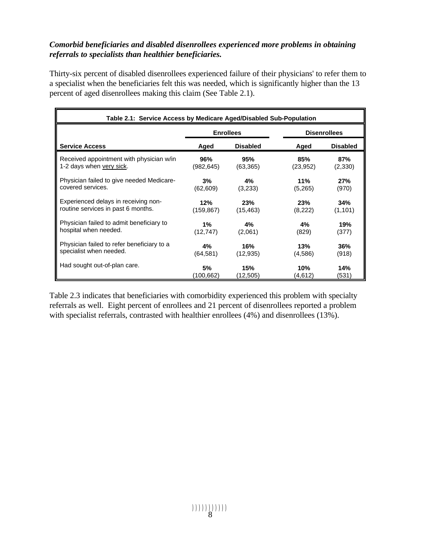#### *Comorbid beneficiaries and disabled disenrollees experienced more problems in obtaining referrals to specialists than healthier beneficiaries.*

Thirty-six percent of disabled disenrollees experienced failure of their physicians' to refer them to a specialist when the beneficiaries felt this was needed, which is significantly higher than the 13 percent of aged disenrollees making this claim (See Table 2.1).

| Table 2.1: Service Access by Medicare Aged/Disabled Sub-Population |            |                  |           |                     |  |
|--------------------------------------------------------------------|------------|------------------|-----------|---------------------|--|
|                                                                    |            | <b>Enrollees</b> |           | <b>Disenrollees</b> |  |
| <b>Service Access</b>                                              | Aged       | <b>Disabled</b>  | Aged      | <b>Disabled</b>     |  |
| Received appointment with physician w/in                           | 96%        | 95%              | 85%       | 87%                 |  |
| 1-2 days when very sick.                                           | (982,645)  | (63, 365)        | (23, 952) | (2,330)             |  |
| Physician failed to give needed Medicare-                          | 3%         | 4%               | 11%       | 27%                 |  |
| covered services.                                                  | (62, 609)  | (3,233)          | (5,265)   | (970)               |  |
| Experienced delays in receiving non-                               | 12%        | 23%              | 23%       | 34%                 |  |
| routine services in past 6 months.                                 | (159, 867) | (15, 463)        | (8,222)   | (1, 101)            |  |
| Physician failed to admit beneficiary to                           | 1%         | 4%               | 4%        | 19%                 |  |
| hospital when needed.                                              | (12, 747)  | (2,061)          | (829)     | (377)               |  |
| Physician failed to refer beneficiary to a                         | 4%         | 16%              | 13%       | 36%                 |  |
| specialist when needed.                                            | (64, 581)  | (12, 935)        | (4,586)   | (918)               |  |
| Had sought out-of-plan care.                                       | 5%         | 15%              | 10%       | 14%                 |  |
|                                                                    | (100,662)  | (12,505)         | (4,612)   | (531)               |  |

Table 2.3 indicates that beneficiaries with comorbidity experienced this problem with specialty referrals as well. Eight percent of enrollees and 21 percent of disenrollees reported a problem with specialist referrals, contrasted with healthier enrollees (4%) and disenrollees (13%).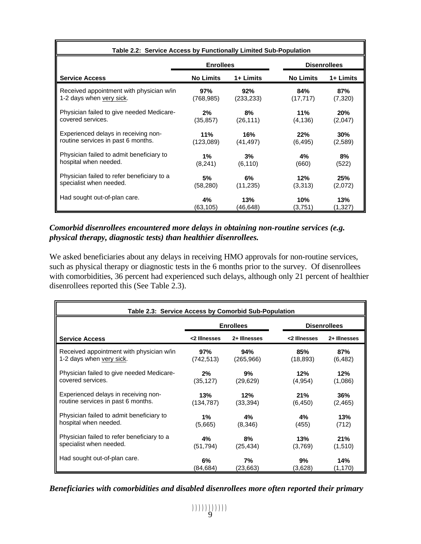| Table 2.2: Service Access by Functionally Limited Sub-Population |                  |            |                  |                     |  |
|------------------------------------------------------------------|------------------|------------|------------------|---------------------|--|
|                                                                  | <b>Enrollees</b> |            |                  | <b>Disenrollees</b> |  |
| <b>Service Access</b>                                            | <b>No Limits</b> | 1+ Limits  | <b>No Limits</b> | 1+ Limits           |  |
| Received appointment with physician w/in                         | 97%              | 92%        | 84%              | 87%                 |  |
| 1-2 days when very sick.                                         | (768.985)        | (233, 233) | (17, 717)        | (7,320)             |  |
| Physician failed to give needed Medicare-                        | 2%               | 8%         | 11%              | 20%                 |  |
| covered services.                                                | (35, 857)        | (26, 111)  | (4, 136)         | (2,047)             |  |
| Experienced delays in receiving non-                             | 11%              | 16%        | 22%              | 30%                 |  |
| routine services in past 6 months.                               | (123,089)        | (41, 497)  | (6, 495)         | (2,589)             |  |
| Physician failed to admit beneficiary to                         | $1\%$            | 3%         | 4%               | 8%                  |  |
| hospital when needed.                                            | (8,241)          | (6, 110)   | (660)            | (522)               |  |
| Physician failed to refer beneficiary to a                       | 5%               | 6%         | 12%              | 25%                 |  |
| specialist when needed.                                          | (58, 280)        | (11, 235)  | (3,313)          | (2,072)             |  |
| Had sought out-of-plan care.                                     | 4%               | 13%        | 10%              | 13%                 |  |
|                                                                  | (63,105)         | (46,648)   | (3,751)          | (1,327)             |  |

#### *Comorbid disenrollees encountered more delays in obtaining non-routine services (e.g. physical therapy, diagnostic tests) than healthier disenrollees.*

We asked beneficiaries about any delays in receiving HMO approvals for non-routine services, such as physical therapy or diagnostic tests in the 6 months prior to the survey. Of disenrollees with comorbidities, 36 percent had experienced such delays, although only 21 percent of healthier disenrollees reported this (See Table 2.3).

| Table 2.3: Service Access by Comorbid Sub-Population |              |                  |                     |              |  |
|------------------------------------------------------|--------------|------------------|---------------------|--------------|--|
|                                                      |              | <b>Enrollees</b> | <b>Disenrollees</b> |              |  |
| <b>Service Access</b>                                | <2 Illnesses | 2+ Illnesses     | <2 Illnesses        | 2+ Illnesses |  |
| Received appointment with physician w/in             | 97%          | 94%              | 85%                 | 87%          |  |
| 1-2 days when very sick.                             | (742,513)    | (265,966)        | (18, 893)           | (6, 482)     |  |
| Physician failed to give needed Medicare-            | 2%           | 9%               | 12%                 | 12%          |  |
| covered services.                                    | (35, 127)    | (29,629)         | (4,954)             | (1,086)      |  |
| Experienced delays in receiving non-                 | 13%          | 12%              | 21%                 | 36%          |  |
| routine services in past 6 months.                   | (134, 787)   | (33, 394)        | (6, 450)            | (2, 465)     |  |
| Physician failed to admit beneficiary to             | 1%           | 4%               | 4%                  | 13%          |  |
| hospital when needed.                                | (5,665)      | (8,346)          | (455)               | (712)        |  |
| Physician failed to refer beneficiary to a           | 4%           | 8%               | 13%                 | 21%          |  |
| specialist when needed.                              | (51, 794)    | (25, 434)        | (3,769)             | (1,510)      |  |
| Had sought out-of-plan care.                         | 6%           | 7%               | 9%                  | 14%          |  |
|                                                      | (84,684)     | (23,663)         | (3,628)             | (1,170)      |  |

*Beneficiaries with comorbidities and disabled disenrollees more often reported their primary*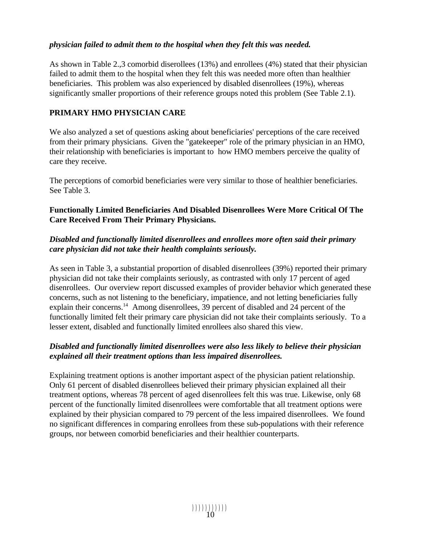#### *physician failed to admit them to the hospital when they felt this was needed.*

As shown in Table 2.,3 comorbid diserollees (13%) and enrollees (4%) stated that their physician failed to admit them to the hospital when they felt this was needed more often than healthier beneficiaries. This problem was also experienced by disabled disenrollees (19%), whereas significantly smaller proportions of their reference groups noted this problem (See Table 2.1).

#### **PRIMARY HMO PHYSICIAN CARE**

We also analyzed a set of questions asking about beneficiaries' perceptions of the care received from their primary physicians. Given the "gatekeeper" role of the primary physician in an HMO, their relationship with beneficiaries is important to how HMO members perceive the quality of care they receive.

The perceptions of comorbid beneficiaries were very similar to those of healthier beneficiaries. See Table 3.

#### **Functionally Limited Beneficiaries And Disabled Disenrollees Were More Critical Of The Care Received From Their Primary Physicians.**

#### *Disabled and functionally limited disenrollees and enrollees more often said their primary care physician did not take their health complaints seriously.*

As seen in Table 3, a substantial proportion of disabled disenrollees (39%) reported their primary physician did not take their complaints seriously, as contrasted with only 17 percent of aged disenrollees. Our overview report discussed examples of provider behavior which generated these concerns, such as not listening to the beneficiary, impatience, and not letting beneficiaries fully explain their concerns.<sup>14</sup> Among disenrollees, 39 percent of disabled and 24 percent of the functionally limited felt their primary care physician did not take their complaints seriously. To a lesser extent, disabled and functionally limited enrollees also shared this view.

### *Disabled and functionally limited disenrollees were also less likely to believe their physician explained all their treatment options than less impaired disenrollees.*

Explaining treatment options is another important aspect of the physician patient relationship. Only 61 percent of disabled disenrollees believed their primary physician explained all their treatment options, whereas 78 percent of aged disenrollees felt this was true. Likewise, only 68 percent of the functionally limited disenrollees were comfortable that all treatment options were explained by their physician compared to 79 percent of the less impaired disenrollees. We found no significant differences in comparing enrollees from these sub-populations with their reference groups, nor between comorbid beneficiaries and their healthier counterparts.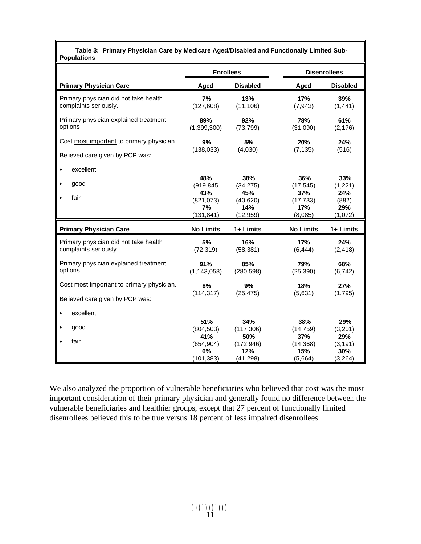| Table 3: Primary Physician Care by Medicare Aged/Disabled and Functionally Limited Sub- |
|-----------------------------------------------------------------------------------------|
| <b>Populations</b>                                                                      |

|                                                                | <b>Enrollees</b>     |                   | <b>Disenrollees</b> |                 |
|----------------------------------------------------------------|----------------------|-------------------|---------------------|-----------------|
| <b>Primary Physician Care</b>                                  | Aged                 | <b>Disabled</b>   | Aged                | <b>Disabled</b> |
| Primary physician did not take health<br>complaints seriously. | 7%<br>(127, 608)     | 13%<br>(11, 106)  | 17%<br>(7, 943)     | 39%<br>(1, 441) |
| Primary physician explained treatment<br>options               | 89%<br>(1,399,300)   | 92%<br>(73, 799)  | 78%<br>(31,090)     | 61%<br>(2, 176) |
| Cost most important to primary physician.                      | 9%                   | 5%                | 20%                 | 24%             |
| Believed care given by PCP was:                                | (138, 033)           | (4,030)           | (7, 135)            | (516)           |
| excellent<br>k                                                 |                      |                   |                     |                 |
| good<br>$\blacktriangleright$                                  | 48%<br>(919, 845)    | 38%<br>(34, 275)  | 36%<br>(17, 545)    | 33%<br>(1,221)  |
| fair                                                           | 43%<br>(821, 073)    | 45%<br>(40, 620)  | 37%<br>(17, 733)    | 24%<br>(882)    |
|                                                                | 7%<br>(131, 841)     | 14%<br>(12, 959)  | 17%<br>(8,085)      | 29%<br>(1,072)  |
|                                                                |                      |                   |                     |                 |
| <b>Primary Physician Care</b>                                  | <b>No Limits</b>     | 1+ Limits         | <b>No Limits</b>    | 1+ Limits       |
| Primary physician did not take health<br>complaints seriously. | 5%<br>(72, 319)      | 16%<br>(58, 381)  | 17%<br>(6, 444)     | 24%<br>(2, 418) |
| Primary physician explained treatment<br>options               | 91%<br>(1, 143, 058) | 85%<br>(280, 598) | 79%<br>(25, 390)    | 68%<br>(6, 742) |
| Cost most important to primary physician.                      | 8%                   | 9%                | 18%                 | 27%             |
| Believed care given by PCP was:                                | (114, 317)           | (25, 475)         | (5,631)             | (1,795)         |
| excellent<br>$\blacktriangleright$                             |                      |                   |                     |                 |
| good<br>▶                                                      | 51%                  | 34%               | 38%                 | 29%             |
|                                                                | (804, 503)<br>41%    | (117, 306)<br>50% | (14, 759)<br>37%    | (3,201)<br>29%  |
| fair<br>ь                                                      | (654, 904)           | (172, 946)        | (14, 368)           | (3, 191)        |
|                                                                | 6%                   | 12%               | 15%                 | 30%             |
|                                                                | (101, 383)           | (41, 298)         | (5,664)             | (3, 264)        |

We also analyzed the proportion of vulnerable beneficiaries who believed that cost was the most important consideration of their primary physician and generally found no difference between the vulnerable beneficiaries and healthier groups, except that 27 percent of functionally limited disenrollees believed this to be true versus 18 percent of less impaired disenrollees.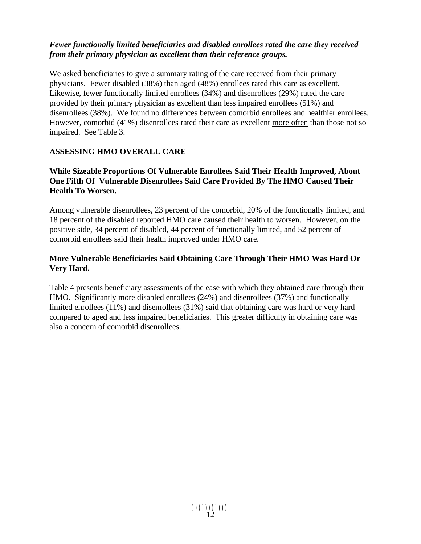#### *Fewer functionally limited beneficiaries and disabled enrollees rated the care they received from their primary physician as excellent than their reference groups.*

We asked beneficiaries to give a summary rating of the care received from their primary physicians. Fewer disabled (38%) than aged (48%) enrollees rated this care as excellent. Likewise, fewer functionally limited enrollees (34%) and disenrollees (29%) rated the care provided by their primary physician as excellent than less impaired enrollees (51%) and disenrollees (38%). We found no differences between comorbid enrollees and healthier enrollees. However, comorbid (41%) disenrollees rated their care as excellent more often than those not so impaired. See Table 3.

### **ASSESSING HMO OVERALL CARE**

#### **While Sizeable Proportions Of Vulnerable Enrollees Said Their Health Improved, About One Fifth Of Vulnerable Disenrollees Said Care Provided By The HMO Caused Their Health To Worsen.**

Among vulnerable disenrollees, 23 percent of the comorbid, 20% of the functionally limited, and 18 percent of the disabled reported HMO care caused their health to worsen. However, on the positive side, 34 percent of disabled, 44 percent of functionally limited, and 52 percent of comorbid enrollees said their health improved under HMO care.

#### **More Vulnerable Beneficiaries Said Obtaining Care Through Their HMO Was Hard Or Very Hard.**

Table 4 presents beneficiary assessments of the ease with which they obtained care through their HMO. Significantly more disabled enrollees (24%) and disenrollees (37%) and functionally limited enrollees (11%) and disenrollees (31%) said that obtaining care was hard or very hard compared to aged and less impaired beneficiaries. This greater difficulty in obtaining care was also a concern of comorbid disenrollees.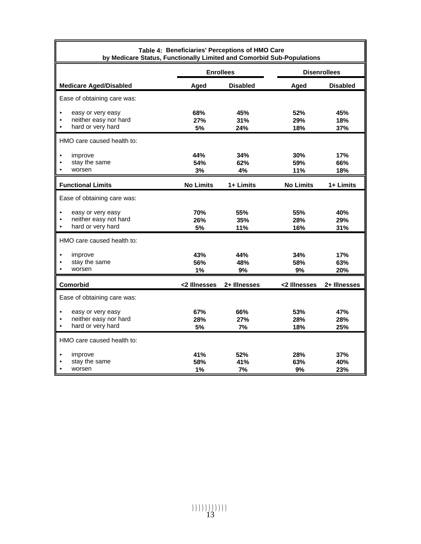| Table 4: Beneficiaries' Perceptions of HMO Care<br>by Medicare Status, Functionally Limited and Comorbid Sub-Populations |                         |                   |                   |                     |  |  |
|--------------------------------------------------------------------------------------------------------------------------|-------------------------|-------------------|-------------------|---------------------|--|--|
|                                                                                                                          |                         | <b>Enrollees</b>  |                   | <b>Disenrollees</b> |  |  |
| <b>Medicare Aged/Disabled</b>                                                                                            | Aged                    | <b>Disabled</b>   | Aged              | <b>Disabled</b>     |  |  |
| Ease of obtaining care was:                                                                                              |                         |                   |                   |                     |  |  |
| easy or very easy<br>Й<br>neither easy nor hard<br>hard or very hard                                                     | 68%<br>27%<br>5%        | 45%<br>31%<br>24% | 52%<br>29%<br>18% | 45%<br>18%<br>37%   |  |  |
| HMO care caused health to:                                                                                               |                         |                   |                   |                     |  |  |
| improve<br>stay the same<br>worsen                                                                                       | 44%<br>54%<br>3%        | 34%<br>62%<br>4%  | 30%<br>59%<br>11% | 17%<br>66%<br>18%   |  |  |
| <b>Functional Limits</b>                                                                                                 | <b>No Limits</b>        | 1+ Limits         | <b>No Limits</b>  | 1+ Limits           |  |  |
| Ease of obtaining care was:                                                                                              |                         |                   |                   |                     |  |  |
| easy or very easy<br>Й<br>neither easy not hard<br>hard or very hard                                                     | <b>70%</b><br>26%<br>5% | 55%<br>35%<br>11% | 55%<br>28%<br>16% | 40%<br>29%<br>31%   |  |  |
| HMO care caused health to:                                                                                               |                         |                   |                   |                     |  |  |
| improve<br>stay the same<br>worsen<br>ь                                                                                  | 43%<br>56%<br>1%        | 44%<br>48%<br>9%  | 34%<br>58%<br>9%  | 17%<br>63%<br>20%   |  |  |
| <b>Comorbid</b>                                                                                                          | <2 Illnesses            | 2+ Illnesses      | <2 Illnesses      | 2+ Illnesses        |  |  |
| Ease of obtaining care was:                                                                                              |                         |                   |                   |                     |  |  |
| easy or very easy<br>neither easy nor hard<br>hard or very hard<br>$\blacktriangleright$                                 | 67%<br>28%<br>5%        | 66%<br>27%<br>7%  | 53%<br>28%<br>18% | 47%<br>28%<br>25%   |  |  |
| HMO care caused health to:                                                                                               |                         |                   |                   |                     |  |  |
| improve<br>ь<br>stay the same<br>worsen                                                                                  | 41%<br>58%<br>1%        | 52%<br>41%<br>7%  | 28%<br>63%<br>9%  | 37%<br>40%<br>23%   |  |  |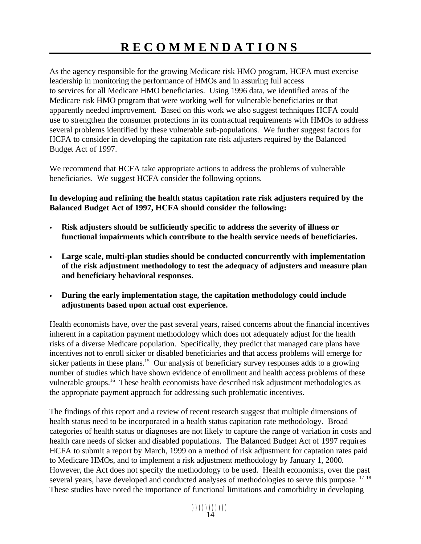# **RECOMMENDATIONS**

As the agency responsible for the growing Medicare risk HMO program, HCFA must exercise leadership in monitoring the performance of HMOs and in assuring full access to services for all Medicare HMO beneficiaries. Using 1996 data, we identified areas of the Medicare risk HMO program that were working well for vulnerable beneficiaries or that apparently needed improvement. Based on this work we also suggest techniques HCFA could use to strengthen the consumer protections in its contractual requirements with HMOs to address several problems identified by these vulnerable sub-populations. We further suggest factors for HCFA to consider in developing the capitation rate risk adjusters required by the Balanced Budget Act of 1997.

We recommend that HCFA take appropriate actions to address the problems of vulnerable beneficiaries. We suggest HCFA consider the following options.

**In developing and refining the health status capitation rate risk adjusters required by the Balanced Budget Act of 1997, HCFA should consider the following:** 

- $\bullet$  **Risk adjusters should be sufficiently specific to address the severity of illness or functional impairments which contribute to the health service needs of beneficiaries.**
- $\bullet$  **Large scale, multi-plan studies should be conducted concurrently with implementation of the risk adjustment methodology to test the adequacy of adjusters and measure plan and beneficiary behavioral responses.**
- $\bullet$  **During the early implementation stage, the capitation methodology could include adjustments based upon actual cost experience.**

Health economists have, over the past several years, raised concerns about the financial incentives inherent in a capitation payment methodology which does not adequately adjust for the health risks of a diverse Medicare population. Specifically, they predict that managed care plans have incentives not to enroll sicker or disabled beneficiaries and that access problems will emerge for sicker patients in these plans.<sup>15</sup> Our analysis of beneficiary survey responses adds to a growing number of studies which have shown evidence of enrollment and health access problems of these vulnerable groups.16 These health economists have described risk adjustment methodologies as the appropriate payment approach for addressing such problematic incentives.

The findings of this report and a review of recent research suggest that multiple dimensions of health status need to be incorporated in a health status capitation rate methodology. Broad categories of health status or diagnoses are not likely to capture the range of variation in costs and health care needs of sicker and disabled populations. The Balanced Budget Act of 1997 requires HCFA to submit a report by March, 1999 on a method of risk adjustment for captation rates paid to Medicare HMOs, and to implement a risk adjustment methodology by January 1, 2000. However, the Act does not specify the methodology to be used. Health economists, over the past several years, have developed and conducted analyses of methodologies to serve this purpose. <sup>17 18</sup> These studies have noted the importance of functional limitations and comorbidity in developing

))))))))))) 14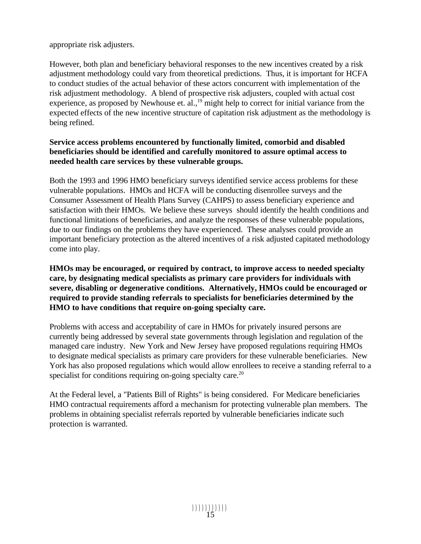appropriate risk adjusters.

However, both plan and beneficiary behavioral responses to the new incentives created by a risk adjustment methodology could vary from theoretical predictions. Thus, it is important for HCFA to conduct studies of the actual behavior of these actors concurrent with implementation of the risk adjustment methodology. A blend of prospective risk adjusters, coupled with actual cost experience, as proposed by Newhouse et. al.,  $\frac{19}{19}$  might help to correct for initial variance from the expected effects of the new incentive structure of capitation risk adjustment as the methodology is being refined.

### **Service access problems encountered by functionally limited, comorbid and disabled beneficiaries should be identified and carefully monitored to assure optimal access to needed health care services by these vulnerable groups.**

Both the 1993 and 1996 HMO beneficiary surveys identified service access problems for these vulnerable populations. HMOs and HCFA will be conducting disenrollee surveys and the Consumer Assessment of Health Plans Survey (CAHPS) to assess beneficiary experience and satisfaction with their HMOs. We believe these surveys should identify the health conditions and functional limitations of beneficiaries, and analyze the responses of these vulnerable populations, due to our findings on the problems they have experienced. These analyses could provide an important beneficiary protection as the altered incentives of a risk adjusted capitated methodology come into play.

#### **HMOs may be encouraged, or required by contract, to improve access to needed specialty care, by designating medical specialists as primary care providers for individuals with severe, disabling or degenerative conditions. Alternatively, HMOs could be encouraged or required to provide standing referrals to specialists for beneficiaries determined by the HMO to have conditions that require on-going specialty care.**

Problems with access and acceptability of care in HMOs for privately insured persons are currently being addressed by several state governments through legislation and regulation of the managed care industry. New York and New Jersey have proposed regulations requiring HMOs to designate medical specialists as primary care providers for these vulnerable beneficiaries. New York has also proposed regulations which would allow enrollees to receive a standing referral to a specialist for conditions requiring on-going specialty care.<sup>20</sup>

At the Federal level, a "Patients Bill of Rights" is being considered. For Medicare beneficiaries HMO contractual requirements afford a mechanism for protecting vulnerable plan members. The problems in obtaining specialist referrals reported by vulnerable beneficiaries indicate such protection is warranted.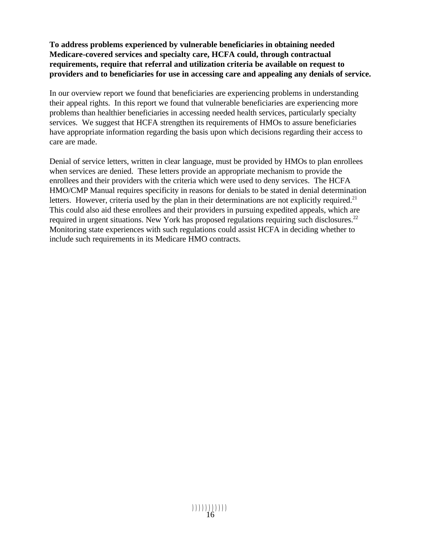#### **To address problems experienced by vulnerable beneficiaries in obtaining needed Medicare-covered services and specialty care, HCFA could, through contractual requirements, require that referral and utilization criteria be available on request to providers and to beneficiaries for use in accessing care and appealing any denials of service.**

In our overview report we found that beneficiaries are experiencing problems in understanding their appeal rights. In this report we found that vulnerable beneficiaries are experiencing more problems than healthier beneficiaries in accessing needed health services, particularly specialty services. We suggest that HCFA strengthen its requirements of HMOs to assure beneficiaries have appropriate information regarding the basis upon which decisions regarding their access to care are made.

Denial of service letters, written in clear language, must be provided by HMOs to plan enrollees when services are denied. These letters provide an appropriate mechanism to provide the enrollees and their providers with the criteria which were used to deny services. The HCFA HMO/CMP Manual requires specificity in reasons for denials to be stated in denial determination letters. However, criteria used by the plan in their determinations are not explicitly required.<sup>21</sup> This could also aid these enrollees and their providers in pursuing expedited appeals, which are required in urgent situations. New York has proposed regulations requiring such disclosures.<sup>22</sup> Monitoring state experiences with such regulations could assist HCFA in deciding whether to include such requirements in its Medicare HMO contracts.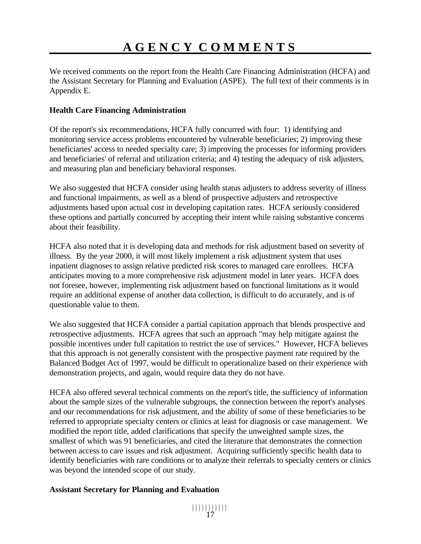# **AGENCY COMMENTS**

We received comments on the report from the Health Care Financing Administration (HCFA) and the Assistant Secretary for Planning and Evaluation (ASPE). The full text of their comments is in Appendix E.

#### **Health Care Financing Administration**

Of the report's six recommendations, HCFA fully concurred with four: 1) identifying and monitoring service access problems encountered by vulnerable beneficiaries; 2) improving these beneficiaries' access to needed specialty care; 3) improving the processes for informing providers and beneficiaries' of referral and utilization criteria; and 4) testing the adequacy of risk adjusters, and measuring plan and beneficiary behavioral responses.

We also suggested that HCFA consider using health status adjusters to address severity of illness and functional impairments, as well as a blend of prospective adjusters and retrospective adjustments based upon actual cost in developing capitation rates. HCFA seriously considered these options and partially concurred by accepting their intent while raising substantive concerns about their feasibility.

HCFA also noted that it is developing data and methods for risk adjustment based on severity of illness. By the year 2000, it will most likely implement a risk adjustment system that uses inpatient diagnoses to assign relative predicted risk scores to managed care enrollees. HCFA anticipates moving to a more comprehensive risk adjustment model in later years. HCFA does not foresee, however, implementing risk adjustment based on functional limitations as it would require an additional expense of another data collection, is difficult to do accurately, and is of questionable value to them.

We also suggested that HCFA consider a partial capitation approach that blends prospective and retrospective adjustments. HCFA agrees that such an approach "may help mitigate against the possible incentives under full capitation to restrict the use of services." However, HCFA believes that this approach is not generally consistent with the prospective payment rate required by the Balanced Budget Act of 1997, would be difficult to operationalize based on their experience with demonstration projects, and again, would require data they do not have.

HCFA also offered several technical comments on the report's title, the sufficiency of information about the sample sizes of the vulnerable subgroups, the connection between the report's analyses and our recommendations for risk adjustment, and the ability of some of these beneficiaries to be referred to appropriate specialty centers or clinics at least for diagnosis or case management. We modified the report title, added clarifications that specify the unweighted sample sizes, the smallest of which was 91 beneficiaries, and cited the literature that demonstrates the connection between access to care issues and risk adjustment. Acquiring sufficiently specific health data to identify beneficiaries with rare conditions or to analyze their referrals to specialty centers or clinics was beyond the intended scope of our study.

#### **Assistant Secretary for Planning and Evaluation**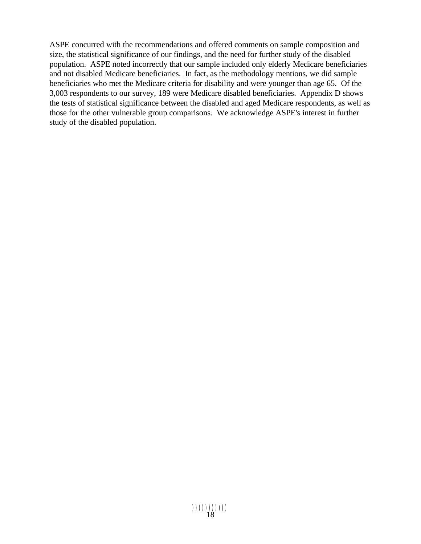ASPE concurred with the recommendations and offered comments on sample composition and size, the statistical significance of our findings, and the need for further study of the disabled population. ASPE noted incorrectly that our sample included only elderly Medicare beneficiaries and not disabled Medicare beneficiaries. In fact, as the methodology mentions, we did sample beneficiaries who met the Medicare criteria for disability and were younger than age 65. Of the 3,003 respondents to our survey, 189 were Medicare disabled beneficiaries. Appendix D shows the tests of statistical significance between the disabled and aged Medicare respondents, as well as those for the other vulnerable group comparisons. We acknowledge ASPE's interest in further study of the disabled population.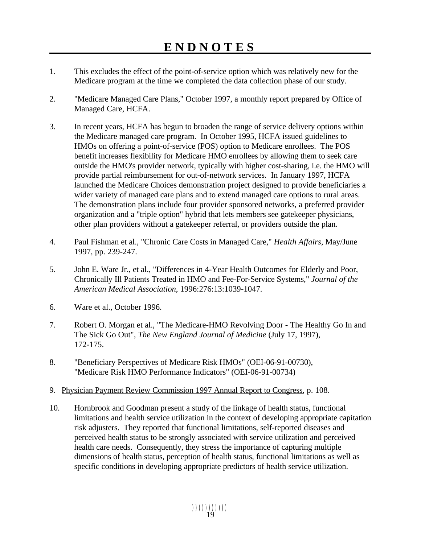- 1. This excludes the effect of the point-of-service option which was relatively new for the Medicare program at the time we completed the data collection phase of our study.
- 2. "Medicare Managed Care Plans," October 1997, a monthly report prepared by Office of Managed Care, HCFA.
- 3. In recent years, HCFA has begun to broaden the range of service delivery options within the Medicare managed care program. In October 1995, HCFA issued guidelines to HMOs on offering a point-of-service (POS) option to Medicare enrollees. The POS benefit increases flexibility for Medicare HMO enrollees by allowing them to seek care outside the HMO's provider network, typically with higher cost-sharing, i.e. the HMO will provide partial reimbursement for out-of-network services. In January 1997, HCFA launched the Medicare Choices demonstration project designed to provide beneficiaries a wider variety of managed care plans and to extend managed care options to rural areas. The demonstration plans include four provider sponsored networks, a preferred provider organization and a "triple option" hybrid that lets members see gatekeeper physicians, other plan providers without a gatekeeper referral, or providers outside the plan.
- 4. Paul Fishman et al., "Chronic Care Costs in Managed Care," *Health Affairs*, May/June 1997, pp. 239-247.
- 5. John E. Ware Jr., et al., "Differences in 4-Year Health Outcomes for Elderly and Poor, Chronically Ill Patients Treated in HMO and Fee-For-Service Systems," *Journal of the American Medical Association*, 1996:276:13:1039-1047.
- 6. Ware et al., October 1996.
- 7. Robert O. Morgan et al., "The Medicare-HMO Revolving Door The Healthy Go In and The Sick Go Out", *The New England Journal of Medicine* (July 17, 1997), 172-175.
- 8. "Beneficiary Perspectives of Medicare Risk HMOs" (OEI-06-91-00730), "Medicare Risk HMO Performance Indicators" (OEI-06-91-00734)
- 9. Physician Payment Review Commission 1997 Annual Report to Congress, p. 108.
- 10. Hornbrook and Goodman present a study of the linkage of health status, functional limitations and health service utilization in the context of developing appropriate capitation risk adjusters. They reported that functional limitations, self-reported diseases and perceived health status to be strongly associated with service utilization and perceived health care needs. Consequently, they stress the importance of capturing multiple dimensions of health status, perception of health status, functional limitations as well as specific conditions in developing appropriate predictors of health service utilization.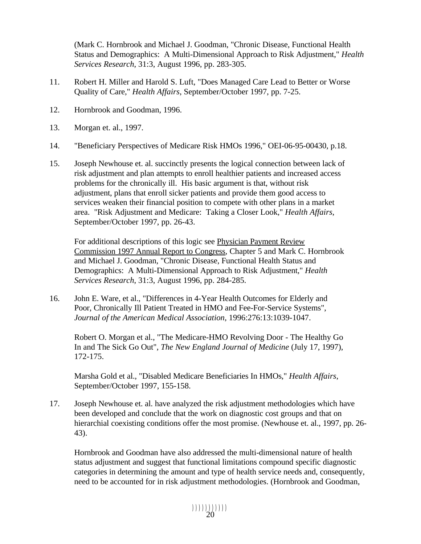(Mark C. Hornbrook and Michael J. Goodman, "Chronic Disease, Functional Health Status and Demographics: A Multi-Dimensional Approach to Risk Adjustment," *Health Services Research*, 31:3, August 1996, pp. 283-305.

- 11. Robert H. Miller and Harold S. Luft, "Does Managed Care Lead to Better or Worse Quality of Care," *Health Affairs*, September/October 1997, pp. 7-25.
- 12. Hornbrook and Goodman, 1996.
- 13. Morgan et. al., 1997.
- 14. "Beneficiary Perspectives of Medicare Risk HMOs 1996," OEI-06-95-00430, p.18.
- 15. Joseph Newhouse et. al. succinctly presents the logical connection between lack of risk adjustment and plan attempts to enroll healthier patients and increased access problems for the chronically ill. His basic argument is that, without risk adjustment, plans that enroll sicker patients and provide them good access to services weaken their financial position to compete with other plans in a market area. "Risk Adjustment and Medicare: Taking a Closer Look," *Health Affairs*, September/October 1997, pp. 26-43.

For additional descriptions of this logic see Physician Payment Review Commission 1997 Annual Report to Congress, Chapter 5 and Mark C. Hornbrook and Michael J. Goodman, "Chronic Disease, Functional Health Status and Demographics: A Multi-Dimensional Approach to Risk Adjustment," *Health Services Research*, 31:3, August 1996, pp. 284-285.

16. John E. Ware, et al., "Differences in 4-Year Health Outcomes for Elderly and Poor, Chronically Ill Patient Treated in HMO and Fee-For-Service Systems", *Journal of the American Medical Association*, 1996:276:13:1039-1047.

Robert O. Morgan et al., "The Medicare-HMO Revolving Door - The Healthy Go In and The Sick Go Out", *The New England Journal of Medicine* (July 17, 1997), 172-175.

Marsha Gold et al., "Disabled Medicare Beneficiaries In HMOs," *Health Affairs*, September/October 1997, 155-158.

17. Joseph Newhouse et. al. have analyzed the risk adjustment methodologies which have been developed and conclude that the work on diagnostic cost groups and that on hierarchial coexisting conditions offer the most promise. (Newhouse et. al., 1997, pp. 26-43).

Hornbrook and Goodman have also addressed the multi-dimensional nature of health status adjustment and suggest that functional limitations compound specific diagnostic categories in determining the amount and type of health service needs and, consequently, need to be accounted for in risk adjustment methodologies. (Hornbrook and Goodman,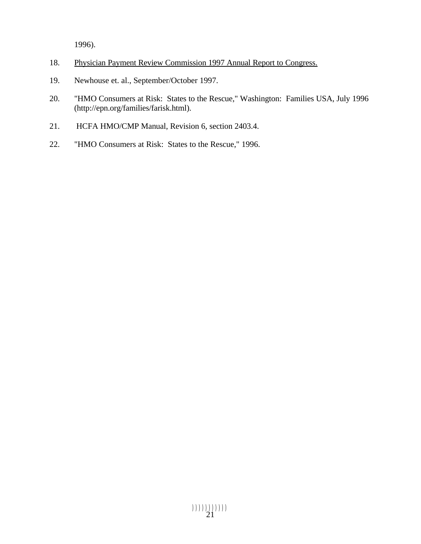1996).

- 18. Physician Payment Review Commission 1997 Annual Report to Congress.
- 19. Newhouse et. al., September/October 1997.
- 20. "HMO Consumers at Risk: States to the Rescue," Washington: Families USA, July 1996 (http://epn.org/families/farisk.html).
- 21. HCFA HMO/CMP Manual, Revision 6, section 2403.4.
- 22. "HMO Consumers at Risk: States to the Rescue," 1996.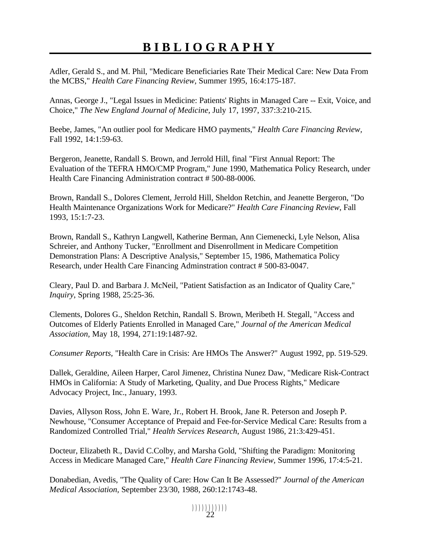# **BIBLIOGRAPHY**

Adler, Gerald S., and M. Phil, "Medicare Beneficiaries Rate Their Medical Care: New Data From the MCBS," *Health Care Financing Review,* Summer 1995, 16:4:175-187.

Annas, George J., "Legal Issues in Medicine: Patients' Rights in Managed Care -- Exit, Voice, and Choice," *The New England Journal of Medicine,* July 17, 1997, 337:3:210-215.

Beebe, James, "An outlier pool for Medicare HMO payments," *Health Care Financing Review,*  Fall 1992, 14:1:59-63.

Bergeron, Jeanette, Randall S. Brown, and Jerrold Hill, final "First Annual Report: The Evaluation of the TEFRA HMO/CMP Program," June 1990, Mathematica Policy Research, under Health Care Financing Administration contract # 500-88-0006.

Brown, Randall S., Dolores Clement, Jerrold Hill, Sheldon Retchin, and Jeanette Bergeron, "Do Health Maintenance Organizations Work for Medicare?" *Health Care Financing Review*, Fall 1993, 15:1:7-23.

Brown, Randall S., Kathryn Langwell, Katherine Berman, Ann Ciemenecki, Lyle Nelson, Alisa Schreier, and Anthony Tucker, "Enrollment and Disenrollment in Medicare Competition Demonstration Plans: A Descriptive Analysis," September 15, 1986, Mathematica Policy Research, under Health Care Financing Adminstration contract # 500-83-0047.

Cleary, Paul D. and Barbara J. McNeil, "Patient Satisfaction as an Indicator of Quality Care," *Inquiry*, Spring 1988, 25:25-36.

Clements, Dolores G., Sheldon Retchin, Randall S. Brown, Meribeth H. Stegall, "Access and Outcomes of Elderly Patients Enrolled in Managed Care," *Journal of the American Medical Association,* May 18, 1994, 271:19:1487-92.

*Consumer Reports,* "Health Care in Crisis: Are HMOs The Answer?" August 1992, pp. 519-529.

Dallek, Geraldine, Aileen Harper, Carol Jimenez, Christina Nunez Daw, "Medicare Risk-Contract HMOs in California: A Study of Marketing, Quality, and Due Process Rights," Medicare Advocacy Project, Inc., January, 1993.

Davies, Allyson Ross, John E. Ware, Jr., Robert H. Brook, Jane R. Peterson and Joseph P. Newhouse, "Consumer Acceptance of Prepaid and Fee-for-Service Medical Care: Results from a Randomized Controlled Trial," *Health Services Research*, August 1986, 21:3:429-451.

Docteur, Elizabeth R., David C.Colby, and Marsha Gold, "Shifting the Paradigm: Monitoring Access in Medicare Managed Care," *Health Care Financing Review,* Summer 1996, 17:4:5-21.

Donabedian, Avedis, "The Quality of Care: How Can It Be Assessed?" *Journal of the American Medical Association,* September 23/30, 1988, 260:12:1743-48.

))))))))))) 22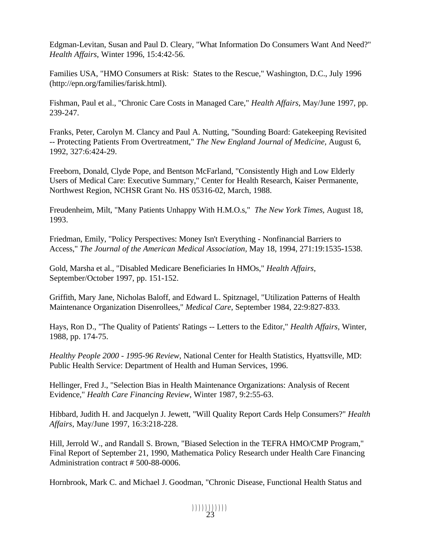Edgman-Levitan, Susan and Paul D. Cleary, "What Information Do Consumers Want And Need?" *Health Affairs,* Winter 1996, 15:4:42-56.

Families USA, "HMO Consumers at Risk: States to the Rescue," Washington, D.C., July 1996 (http://epn.org/families/farisk.html).

Fishman, Paul et al., "Chronic Care Costs in Managed Care," *Health Affairs*, May/June 1997, pp. 239-247.

Franks, Peter, Carolyn M. Clancy and Paul A. Nutting, "Sounding Board: Gatekeeping Revisited -- Protecting Patients From Overtreatment," *The New England Journal of Medicine,* August 6, 1992, 327:6:424-29.

Freeborn, Donald, Clyde Pope, and Bentson McFarland, "Consistently High and Low Elderly Users of Medical Care: Executive Summary," Center for Health Research, Kaiser Permanente, Northwest Region, NCHSR Grant No. HS 05316-02, March, 1988.

Freudenheim, Milt, "Many Patients Unhappy With H.M.O.s," *The New York Times,* August 18, 1993.

Friedman, Emily, "Policy Perspectives: Money Isn't Everything - Nonfinancial Barriers to Access," *The Journal of the American Medical Association,* May 18, 1994, 271:19:1535-1538.

Gold, Marsha et al., "Disabled Medicare Beneficiaries In HMOs," *Health Affairs*, September/October 1997, pp. 151-152.

Griffith, Mary Jane, Nicholas Baloff, and Edward L. Spitznagel, "Utilization Patterns of Health Maintenance Organization Disenrollees," *Medical Care*, September 1984, 22:9:827-833.

Hays, Ron D., "The Quality of Patients' Ratings -- Letters to the Editor," *Health Affairs,* Winter, 1988, pp. 174-75.

*Healthy People 2000 - 1995-96 Review*, National Center for Health Statistics, Hyattsville, MD: Public Health Service: Department of Health and Human Services, 1996.

Hellinger, Fred J., "Selection Bias in Health Maintenance Organizations: Analysis of Recent Evidence," *Health Care Financing Review*, Winter 1987, 9:2:55-63.

Hibbard, Judith H. and Jacquelyn J. Jewett, "Will Quality Report Cards Help Consumers?" *Health Affairs,* May/June 1997, 16:3:218-228.

Hill, Jerrold W., and Randall S. Brown, "Biased Selection in the TEFRA HMO/CMP Program," Final Report of September 21, 1990, Mathematica Policy Research under Health Care Financing Administration contract # 500-88-0006.

Hornbrook, Mark C. and Michael J. Goodman, "Chronic Disease, Functional Health Status and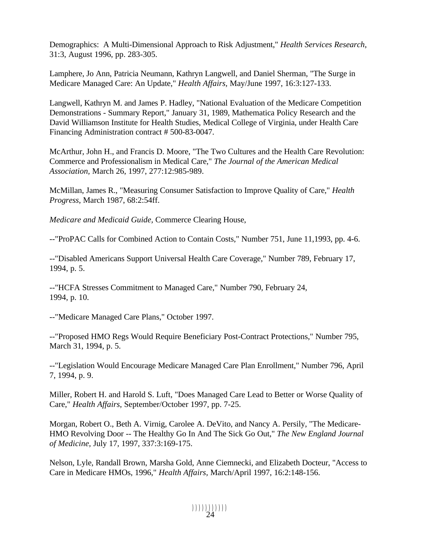Demographics: A Multi-Dimensional Approach to Risk Adjustment," *Health Services Research*, 31:3, August 1996, pp. 283-305.

Lamphere, Jo Ann, Patricia Neumann, Kathryn Langwell, and Daniel Sherman, "The Surge in Medicare Managed Care: An Update," *Health Affairs,* May/June 1997, 16:3:127-133.

Langwell, Kathryn M. and James P. Hadley, "National Evaluation of the Medicare Competition Demonstrations - Summary Report," January 31, 1989, Mathematica Policy Research and the David Williamson Institute for Health Studies, Medical College of Virginia, under Health Care Financing Administration contract # 500-83-0047.

McArthur, John H., and Francis D. Moore, "The Two Cultures and the Health Care Revolution: Commerce and Professionalism in Medical Care," *The Journal of the American Medical Association,* March 26, 1997, 277:12:985-989.

McMillan, James R., "Measuring Consumer Satisfaction to Improve Quality of Care," *Health Progress*, March 1987, 68:2:54ff.

*Medicare and Medicaid Guide,* Commerce Clearing House,

--"ProPAC Calls for Combined Action to Contain Costs," Number 751, June 11,1993, pp. 4-6.

--"Disabled Americans Support Universal Health Care Coverage," Number 789, February 17, 1994, p. 5.

--"HCFA Stresses Commitment to Managed Care," Number 790, February 24, 1994, p. 10.

--"Medicare Managed Care Plans," October 1997.

--"Proposed HMO Regs Would Require Beneficiary Post-Contract Protections," Number 795, March 31, 1994, p. 5.

--"Legislation Would Encourage Medicare Managed Care Plan Enrollment," Number 796, April 7, 1994, p. 9.

Miller, Robert H. and Harold S. Luft, "Does Managed Care Lead to Better or Worse Quality of Care," *Health Affairs*, September/October 1997, pp. 7-25.

Morgan, Robert O., Beth A. Virnig, Carolee A. DeVito, and Nancy A. Persily, "The Medicare-HMO Revolving Door -- The Healthy Go In And The Sick Go Out," *The New England Journal of Medicine,* July 17, 1997, 337:3:169-175.

Nelson, Lyle, Randall Brown, Marsha Gold, Anne Ciemnecki, and Elizabeth Docteur, "Access to Care in Medicare HMOs, 1996," *Health Affairs,* March/April 1997, 16:2:148-156.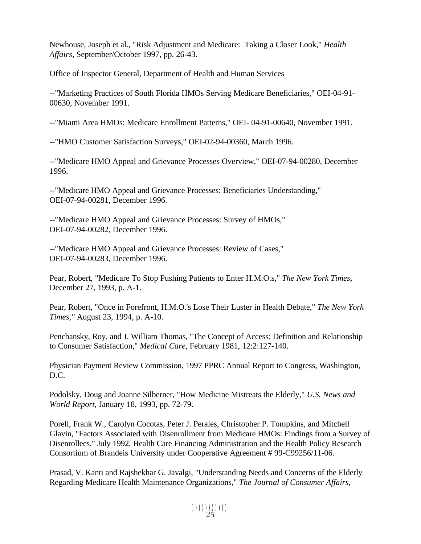Newhouse, Joseph et al., "Risk Adjustment and Medicare: Taking a Closer Look," *Health Affairs*, September/October 1997, pp. 26-43.

Office of Inspector General, Department of Health and Human Services

--"Marketing Practices of South Florida HMOs Serving Medicare Beneficiaries," OEI-04-91- 00630, November 1991.

--"Miami Area HMOs: Medicare Enrollment Patterns," OEI- 04-91-00640, November 1991.

--"HMO Customer Satisfaction Surveys," OEI-02-94-00360, March 1996.

--"Medicare HMO Appeal and Grievance Processes Overview," OEI-07-94-00280, December 1996.

--"Medicare HMO Appeal and Grievance Processes: Beneficiaries Understanding," OEI-07-94-00281, December 1996.

--"Medicare HMO Appeal and Grievance Processes: Survey of HMOs," OEI-07-94-00282, December 1996.

--"Medicare HMO Appeal and Grievance Processes: Review of Cases," OEI-07-94-00283, December 1996.

Pear, Robert, "Medicare To Stop Pushing Patients to Enter H.M.O.s," *The New York Times,*  December 27, 1993, p. A-1.

Pear, Robert, "Once in Forefront, H.M.O.'s Lose Their Luster in Health Debate," *The New York Times,"* August 23, 1994, p. A-10.

Penchansky, Roy, and J. William Thomas, "The Concept of Access: Definition and Relationship to Consumer Satisfaction," *Medical Care,* February 1981, 12:2:127-140.

Physician Payment Review Commission, 1997 PPRC Annual Report to Congress, Washington, D.C.

Podolsky, Doug and Joanne Silberner, "How Medicine Mistreats the Elderly," *U.S. News and World Report,* January 18, 1993, pp. 72-79.

Porell, Frank W., Carolyn Cocotas, Peter J. Perales, Christopher P. Tompkins, and Mitchell Glavin, "Factors Associated with Disenrollment from Medicare HMOs: Findings from a Survey of Disenrollees," July 1992, Health Care Financing Administration and the Health Policy Research Consortium of Brandeis University under Cooperative Agreement # 99-C99256/11-06.

Prasad, V. Kanti and Rajshekhar G. Javalgi, "Understanding Needs and Concerns of the Elderly Regarding Medicare Health Maintenance Organizations," *The Journal of Consumer Affairs,*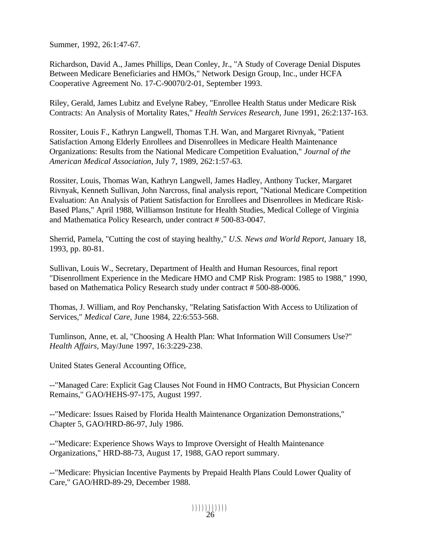Summer, 1992, 26:1:47-67.

Richardson, David A., James Phillips, Dean Conley, Jr., "A Study of Coverage Denial Disputes Between Medicare Beneficiaries and HMOs," Network Design Group, Inc., under HCFA Cooperative Agreement No. 17-C-90070/2-01, September 1993.

Riley, Gerald, James Lubitz and Evelyne Rabey, "Enrollee Health Status under Medicare Risk Contracts: An Analysis of Mortality Rates," *Health Services Research*, June 1991, 26:2:137-163.

Rossiter, Louis F., Kathryn Langwell, Thomas T.H. Wan, and Margaret Rivnyak, "Patient Satisfaction Among Elderly Enrollees and Disenrollees in Medicare Health Maintenance Organizations: Results from the National Medicare Competition Evaluation," *Journal of the American Medical Association*, July 7, 1989, 262:1:57-63.

Rossiter, Louis, Thomas Wan, Kathryn Langwell, James Hadley, Anthony Tucker, Margaret Rivnyak, Kenneth Sullivan, John Narcross, final analysis report, "National Medicare Competition Evaluation: An Analysis of Patient Satisfaction for Enrollees and Disenrollees in Medicare Risk-Based Plans," April 1988, Williamson Institute for Health Studies, Medical College of Virginia and Mathematica Policy Research, under contract # 500-83-0047.

Sherrid, Pamela, "Cutting the cost of staying healthy," *U.S. News and World Report,* January 18, 1993, pp. 80-81.

Sullivan, Louis W., Secretary, Department of Health and Human Resources, final report "Disenrollment Experience in the Medicare HMO and CMP Risk Program: 1985 to 1988," 1990, based on Mathematica Policy Research study under contract # 500-88-0006.

Thomas, J. William, and Roy Penchansky, "Relating Satisfaction With Access to Utilization of Services," *Medical Care,* June 1984, 22:6:553-568.

Tumlinson, Anne, et. al, "Choosing A Health Plan: What Information Will Consumers Use?" *Health Affairs,* May/June 1997, 16:3:229-238.

United States General Accounting Office,

--"Managed Care: Explicit Gag Clauses Not Found in HMO Contracts, But Physician Concern Remains," GAO/HEHS-97-175, August 1997.

--"Medicare: Issues Raised by Florida Health Maintenance Organization Demonstrations," Chapter 5, GAO/HRD-86-97, July 1986.

--"Medicare: Experience Shows Ways to Improve Oversight of Health Maintenance Organizations," HRD-88-73, August 17, 1988, GAO report summary.

--"Medicare: Physician Incentive Payments by Prepaid Health Plans Could Lower Quality of Care," GAO/HRD-89-29, December 1988.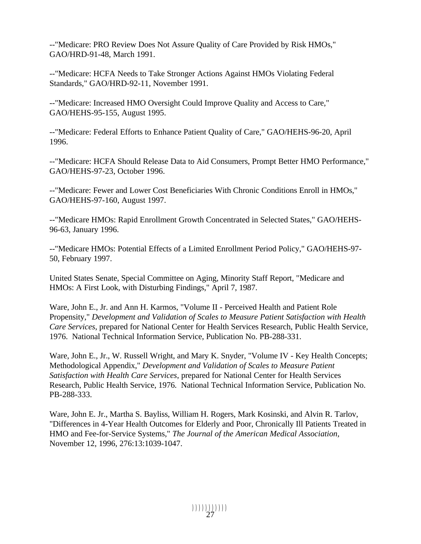--"Medicare: PRO Review Does Not Assure Quality of Care Provided by Risk HMOs," GAO/HRD-91-48, March 1991.

--"Medicare: HCFA Needs to Take Stronger Actions Against HMOs Violating Federal Standards," GAO/HRD-92-11, November 1991.

--"Medicare: Increased HMO Oversight Could Improve Quality and Access to Care," GAO/HEHS-95-155, August 1995.

--"Medicare: Federal Efforts to Enhance Patient Quality of Care," GAO/HEHS-96-20, April 1996.

--"Medicare: HCFA Should Release Data to Aid Consumers, Prompt Better HMO Performance," GAO/HEHS-97-23, October 1996.

--"Medicare: Fewer and Lower Cost Beneficiaries With Chronic Conditions Enroll in HMOs," GAO/HEHS-97-160, August 1997.

--"Medicare HMOs: Rapid Enrollment Growth Concentrated in Selected States," GAO/HEHS-96-63, January 1996.

--"Medicare HMOs: Potential Effects of a Limited Enrollment Period Policy," GAO/HEHS-97- 50, February 1997.

United States Senate, Special Committee on Aging, Minority Staff Report, "Medicare and HMOs: A First Look, with Disturbing Findings," April 7, 1987.

Ware, John E., Jr. and Ann H. Karmos, "Volume II - Perceived Health and Patient Role Propensity," *Development and Validation of Scales to Measure Patient Satisfaction with Health Care Services*, prepared for National Center for Health Services Research, Public Health Service, 1976. National Technical Information Service, Publication No. PB-288-331.

Ware, John E., Jr., W. Russell Wright, and Mary K. Snyder, "Volume IV - Key Health Concepts; Methodological Appendix," *Development and Validation of Scales to Measure Patient Satisfaction with Health Care Services*, prepared for National Center for Health Services Research, Public Health Service, 1976. National Technical Information Service, Publication No. PB-288-333.

Ware, John E. Jr., Martha S. Bayliss, William H. Rogers, Mark Kosinski, and Alvin R. Tarlov, "Differences in 4-Year Health Outcomes for Elderly and Poor, Chronically Ill Patients Treated in HMO and Fee-for-Service Systems," *The Journal of the American Medical Association,*  November 12, 1996, 276:13:1039-1047.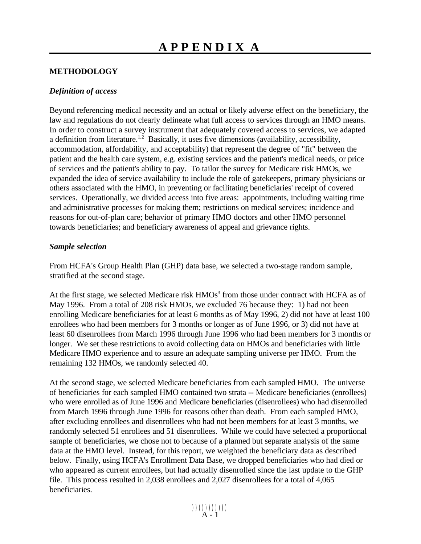#### **METHODOLOGY**

#### *Definition of access*

Beyond referencing medical necessity and an actual or likely adverse effect on the beneficiary, the law and regulations do not clearly delineate what full access to services through an HMO means. In order to construct a survey instrument that adequately covered access to services, we adapted a definition from literature.<sup>1,2</sup> Basically, it uses five dimensions (availability, accessibility, accommodation, affordability, and acceptability) that represent the degree of "fit" between the patient and the health care system, e.g. existing services and the patient's medical needs, or price of services and the patient's ability to pay. To tailor the survey for Medicare risk HMOs, we expanded the idea of service availability to include the role of gatekeepers, primary physicians or others associated with the HMO, in preventing or facilitating beneficiaries' receipt of covered services. Operationally, we divided access into five areas: appointments, including waiting time and administrative processes for making them; restrictions on medical services; incidence and reasons for out-of-plan care; behavior of primary HMO doctors and other HMO personnel towards beneficiaries; and beneficiary awareness of appeal and grievance rights.

#### *Sample selection*

From HCFA's Group Health Plan (GHP) data base, we selected a two-stage random sample, stratified at the second stage.

At the first stage, we selected Medicare risk  $HMOs<sup>3</sup>$  from those under contract with HCFA as of May 1996. From a total of 208 risk HMOs, we excluded 76 because they: 1) had not been enrolling Medicare beneficiaries for at least 6 months as of May 1996, 2) did not have at least 100 enrollees who had been members for 3 months or longer as of June 1996, or 3) did not have at least 60 disenrollees from March 1996 through June 1996 who had been members for 3 months or longer. We set these restrictions to avoid collecting data on HMOs and beneficiaries with little Medicare HMO experience and to assure an adequate sampling universe per HMO. From the remaining 132 HMOs, we randomly selected 40.

At the second stage, we selected Medicare beneficiaries from each sampled HMO. The universe of beneficiaries for each sampled HMO contained two strata -- Medicare beneficiaries (enrollees) who were enrolled as of June 1996 and Medicare beneficiaries (disenrollees) who had disenrolled from March 1996 through June 1996 for reasons other than death. From each sampled HMO, after excluding enrollees and disenrollees who had not been members for at least 3 months, we randomly selected 51 enrollees and 51 disenrollees. While we could have selected a proportional sample of beneficiaries, we chose not to because of a planned but separate analysis of the same data at the HMO level. Instead, for this report, we weighted the beneficiary data as described below. Finally, using HCFA's Enrollment Data Base, we dropped beneficiaries who had died or who appeared as current enrollees, but had actually disenrolled since the last update to the GHP file. This process resulted in 2,038 enrollees and 2,027 disenrollees for a total of 4,065 beneficiaries.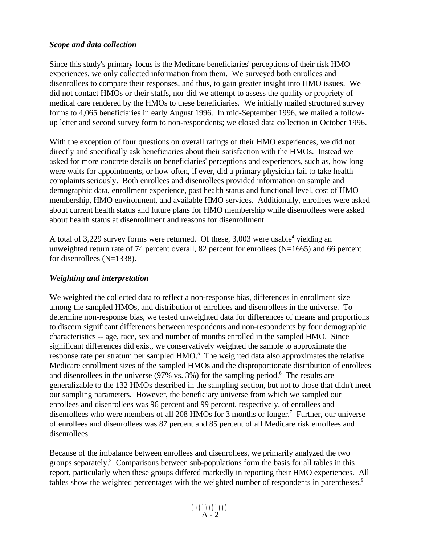#### *Scope and data collection*

Since this study's primary focus is the Medicare beneficiaries' perceptions of their risk HMO experiences, we only collected information from them. We surveyed both enrollees and disenrollees to compare their responses, and thus, to gain greater insight into HMO issues. We did not contact HMOs or their staffs, nor did we attempt to assess the quality or propriety of medical care rendered by the HMOs to these beneficiaries. We initially mailed structured survey forms to 4,065 beneficiaries in early August 1996. In mid-September 1996, we mailed a followup letter and second survey form to non-respondents; we closed data collection in October 1996.

With the exception of four questions on overall ratings of their HMO experiences, we did not directly and specifically ask beneficiaries about their satisfaction with the HMOs. Instead we asked for more concrete details on beneficiaries' perceptions and experiences, such as, how long were waits for appointments, or how often, if ever, did a primary physician fail to take health complaints seriously. Both enrollees and disenrollees provided information on sample and demographic data, enrollment experience, past health status and functional level, cost of HMO membership, HMO environment, and available HMO services. Additionally, enrollees were asked about current health status and future plans for HMO membership while disenrollees were asked about health status at disenrollment and reasons for disenrollment.

A total of 3,229 survey forms were returned. Of these,  $3,003$  were usable<sup>4</sup> yielding an unweighted return rate of 74 percent overall, 82 percent for enrollees  $(N=1665)$  and 66 percent for disenrollees (N=1338).

#### *Weighting and interpretation*

We weighted the collected data to reflect a non-response bias, differences in enrollment size among the sampled HMOs, and distribution of enrollees and disenrollees in the universe. To determine non-response bias, we tested unweighted data for differences of means and proportions to discern significant differences between respondents and non-respondents by four demographic characteristics -- age, race, sex and number of months enrolled in the sampled HMO. Since significant differences did exist, we conservatively weighted the sample to approximate the response rate per stratum per sampled  $HMO<sup>5</sup>$ . The weighted data also approximates the relative Medicare enrollment sizes of the sampled HMOs and the disproportionate distribution of enrollees and disenrollees in the universe  $(97\%$  vs. 3%) for the sampling period.<sup>6</sup> The results are generalizable to the 132 HMOs described in the sampling section, but not to those that didn't meet our sampling parameters. However, the beneficiary universe from which we sampled our enrollees and disenrollees was 96 percent and 99 percent, respectively, of enrollees and disenrollees who were members of all 208 HMOs for 3 months or longer.<sup>7</sup> Further, our universe of enrollees and disenrollees was 87 percent and 85 percent of all Medicare risk enrollees and disenrollees.

Because of the imbalance between enrollees and disenrollees, we primarily analyzed the two groups separately.8 Comparisons between sub-populations form the basis for all tables in this report, particularly when these groups differed markedly in reporting their HMO experiences. All tables show the weighted percentages with the weighted number of respondents in parentheses.<sup>9</sup>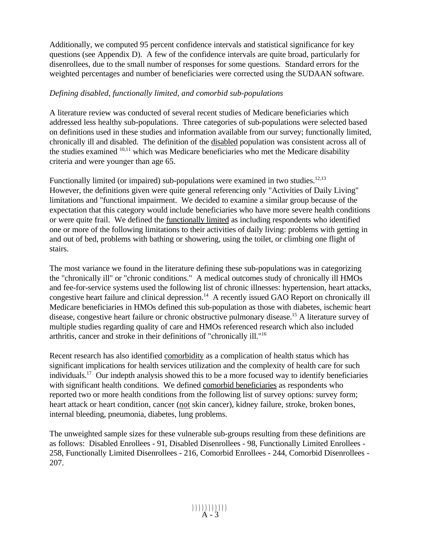Additionally, we computed 95 percent confidence intervals and statistical significance for key questions (see Appendix D). A few of the confidence intervals are quite broad, particularly for disenrollees, due to the small number of responses for some questions. Standard errors for the weighted percentages and number of beneficiaries were corrected using the SUDAAN software.

#### *Defining disabled, functionally limited, and comorbid sub-populations*

A literature review was conducted of several recent studies of Medicare beneficiaries which addressed less healthy sub-populations. Three categories of sub-populations were selected based on definitions used in these studies and information available from our survey; functionally limited, chronically ill and disabled. The definition of the disabled population was consistent across all of the studies examined 10,11 which was Medicare beneficiaries who met the Medicare disability criteria and were younger than age 65.

Functionally limited (or impaired) sub-populations were examined in two studies. $12,13$ However, the definitions given were quite general referencing only "Activities of Daily Living" limitations and "functional impairment. We decided to examine a similar group because of the expectation that this category would include beneficiaries who have more severe health conditions or were quite frail. We defined the functionally limited as including respondents who identified one or more of the following limitations to their activities of daily living: problems with getting in and out of bed, problems with bathing or showering, using the toilet, or climbing one flight of stairs.

The most variance we found in the literature defining these sub-populations was in categorizing the "chronically ill" or "chronic conditions." A medical outcomes study of chronically ill HMOs and fee-for-service systems used the following list of chronic illnesses: hypertension, heart attacks, congestive heart failure and clinical depression.<sup>14</sup> A recently issued GAO Report on chronically ill Medicare beneficiaries in HMOs defined this sub-population as those with diabetes, ischemic heart disease, congestive heart failure or chronic obstructive pulmonary disease.<sup>15</sup> A literature survey of multiple studies regarding quality of care and HMOs referenced research which also included arthritis, cancer and stroke in their definitions of "chronically ill."16

Recent research has also identified comorbidity as a complication of health status which has significant implications for health services utilization and the complexity of health care for such individuals.17 Our indepth analysis showed this to be a more focused way to identify beneficiaries with significant health conditions. We defined comorbid beneficiaries as respondents who reported two or more health conditions from the following list of survey options: survey form; heart attack or heart condition, cancer (not skin cancer), kidney failure, stroke, broken bones, internal bleeding, pneumonia, diabetes, lung problems.

The unweighted sample sizes for these vulnerable sub-groups resulting from these definitions are as follows: Disabled Enrollees - 91, Disabled Disenrollees - 98, Functionally Limited Enrollees - 258, Functionally Limited Disenrollees - 216, Comorbid Enrollees - 244, Comorbid Disenrollees - 207.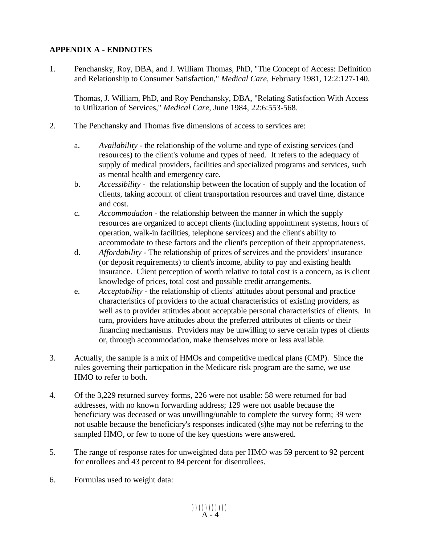#### **APPENDIX A - ENDNOTES**

1. Penchansky, Roy, DBA, and J. William Thomas, PhD, "The Concept of Access: Definition and Relationship to Consumer Satisfaction," *Medical Care,* February 1981, 12:2:127-140.

Thomas, J. William, PhD, and Roy Penchansky, DBA, "Relating Satisfaction With Access to Utilization of Services," *Medical Care,* June 1984, 22:6:553-568.

- 2. The Penchansky and Thomas five dimensions of access to services are:
	- a. *Availability* the relationship of the volume and type of existing services (and resources) to the client's volume and types of need. It refers to the adequacy of supply of medical providers, facilities and specialized programs and services, such as mental health and emergency care.
	- b. *Accessibility* the relationship between the location of supply and the location of clients, taking account of client transportation resources and travel time, distance and cost.
	- c. *Accommodation* the relationship between the manner in which the supply resources are organized to accept clients (including appointment systems, hours of operation, walk-in facilities, telephone services) and the client's ability to accommodate to these factors and the client's perception of their appropriateness.
	- d. *Affordability* The relationship of prices of services and the providers' insurance (or deposit requirements) to client's income, ability to pay and existing health insurance. Client perception of worth relative to total cost is a concern, as is client knowledge of prices, total cost and possible credit arrangements.
	- e. *Acceptability* the relationship of clients' attitudes about personal and practice characteristics of providers to the actual characteristics of existing providers, as well as to provider attitudes about acceptable personal characteristics of clients. In turn, providers have attitudes about the preferred attributes of clients or their financing mechanisms. Providers may be unwilling to serve certain types of clients or, through accommodation, make themselves more or less available.
- 3. Actually, the sample is a mix of HMOs and competitive medical plans (CMP). Since the rules governing their particpation in the Medicare risk program are the same, we use HMO to refer to both.
- 4. Of the 3,229 returned survey forms, 226 were not usable: 58 were returned for bad addresses, with no known forwarding address; 129 were not usable because the beneficiary was deceased or was unwilling/unable to complete the survey form; 39 were not usable because the beneficiary's responses indicated (s)he may not be referring to the sampled HMO, or few to none of the key questions were answered.
- 5. The range of response rates for unweighted data per HMO was 59 percent to 92 percent for enrollees and 43 percent to 84 percent for disenrollees.
- 6. Formulas used to weight data: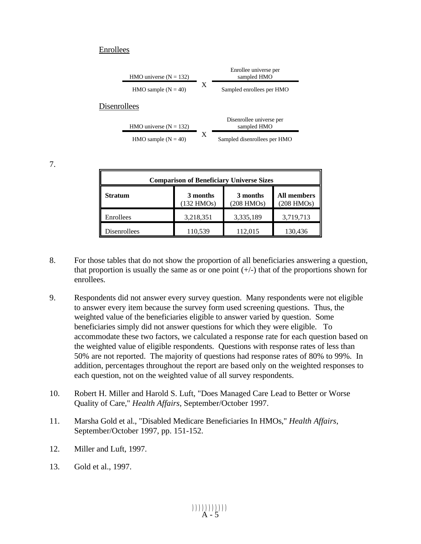#### Enrollees

|                          |   | Enrollee universe per                   |
|--------------------------|---|-----------------------------------------|
| HMO universe $(N = 132)$ |   | sampled HMO                             |
| HMO sample $(N = 40)$    | X | Sampled enrollees per HMO               |
| <b>Disenrollees</b>      |   |                                         |
| HMO universe $(N = 132)$ |   | Disenrollee universe per<br>sampled HMO |
| HMO sample $(N = 40)$    | X | Sampled disenrollees per HMO            |

7.

| <b>Comparison of Beneficiary Universe Sizes</b> |                                                       |           |                           |  |  |  |
|-------------------------------------------------|-------------------------------------------------------|-----------|---------------------------|--|--|--|
| <b>Stratum</b>                                  | 3 months<br>3 months<br>(132 HMOs)<br>$(208$ HMOs $)$ |           | All members<br>(208 HMOs) |  |  |  |
| Enrollees                                       | 3,218,351                                             | 3,335,189 | 3,719,713                 |  |  |  |
| Disenrollees                                    | 110,539                                               | 112,015   | 130,436                   |  |  |  |

- 8. For those tables that do not show the proportion of all beneficiaries answering a question, that proportion is usually the same as or one point  $(+/-)$  that of the proportions shown for enrollees.
- 9. Respondents did not answer every survey question. Many respondents were not eligible to answer every item because the survey form used screening questions. Thus, the weighted value of the beneficiaries eligible to answer varied by question. Some beneficiaries simply did not answer questions for which they were eligible. To accommodate these two factors, we calculated a response rate for each question based on the weighted value of eligible respondents. Questions with response rates of less than 50% are not reported. The majority of questions had response rates of 80% to 99%. In addition, percentages throughout the report are based only on the weighted responses to each question, not on the weighted value of all survey respondents.
- 10. Robert H. Miller and Harold S. Luft, "Does Managed Care Lead to Better or Worse Quality of Care," *Health Affairs*, September/October 1997.
- 11. Marsha Gold et al., "Disabled Medicare Beneficiaries In HMOs," *Health Affairs*, September/October 1997, pp. 151-152.
- 12. Miller and Luft, 1997.
- 13. Gold et al., 1997.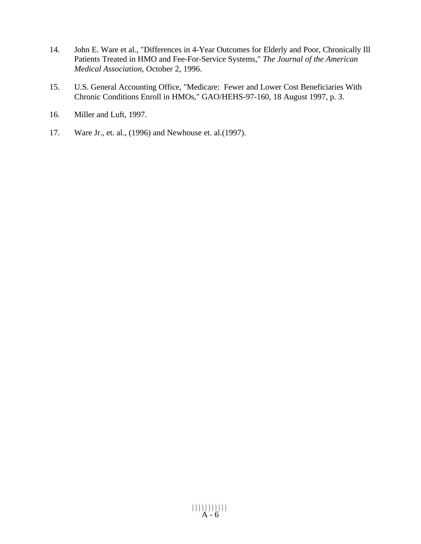- 14. John E. Ware et al., "Differences in 4-Year Outcomes for Elderly and Poor, Chronically Ill Patients Treated in HMO and Fee-For-Service Systems," *The Journal of the American Medical Association*, October 2, 1996.
- 15. U.S. General Accounting Office, "Medicare: Fewer and Lower Cost Beneficiaries With Chronic Conditions Enroll in HMOs," GAO/HEHS-97-160, 18 August 1997, p. 3.
- 16. Miller and Luft, 1997.
- 17. Ware Jr., et. al., (1996) and Newhouse et. al.(1997).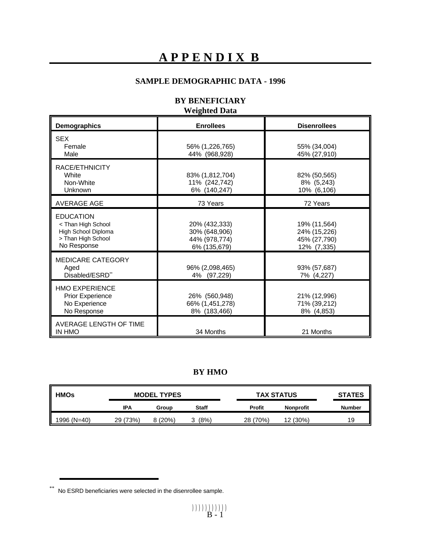# **APPENDIX B**

### **SAMPLE DEMOGRAPHIC DATA - 1996**

#### **BY BENEFICIARY Weighted Data**

| Demographics                                                                                                        | <b>Enrollees</b>                                                |                                                             |
|---------------------------------------------------------------------------------------------------------------------|-----------------------------------------------------------------|-------------------------------------------------------------|
| <b>SEX</b><br>Female<br>Male                                                                                        | 56% (1,226,765)<br>44% (968,928)                                | 55% (34,004)<br>45% (27,910)                                |
| RACE/ETHNICITY<br><b>White</b><br>Non-White<br>Unknown                                                              | 83% (1,812,704)<br>11% (242,742)<br>6% (140,247)                | 82% (50,565)<br>8% (5,243)<br>10% (6,106)                   |
| <b>AVERAGE AGE</b>                                                                                                  | 73 Years                                                        | 72 Years                                                    |
| <b>EDUCATION</b><br><than high="" school<br="">High School Diploma<br/>&gt; Than High School<br/>No Response</than> | 20% (432,333)<br>30% (648,906)<br>44% (978,774)<br>6% (135,679) | 19% (11,564)<br>24% (15,226)<br>45% (27,790)<br>12% (7,335) |
| <b>MEDICARE CATEGORY</b><br>Aged<br>Disabled/ESRD**                                                                 | 96% (2,098,465)<br>(97, 229)<br>4%                              | 93% (57,687)<br>7% (4,227)                                  |
| <b>HMO EXPERIENCE</b><br><b>Prior Experience</b><br>No Experience<br>No Response                                    | 26% (560,948)<br>66% (1,451,278)<br>8% (183,466)                | 21% (12,996)<br>71% (39,212)<br>8% (4,853)                  |
| AVERAGE LENGTH OF TIME<br><b>IN HMO</b>                                                                             | 34 Months                                                       | 21 Months                                                   |

### **BY HMO**

| <b>HMOs</b> | <b>MODEL TYPES</b> |        | <b>TAX STATUS</b> |               | <b>STATES</b>    |               |
|-------------|--------------------|--------|-------------------|---------------|------------------|---------------|
|             | IPA                | Group  | <b>Staff</b>      | <b>Profit</b> | <b>Nonprofit</b> | <b>Number</b> |
| 1996 (N=40) | 29 (73%)           | 8(20%) | (8%)              | 28 (70%)      | 12 (30%)         | 19            |

<sup>\*\*</sup> No ESRD beneficiaries were selected in the disenrollee sample.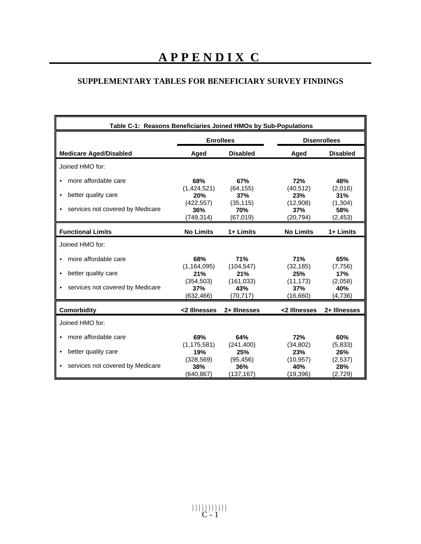# **SUPPLEMENTARY TABLES FOR BENEFICIARY SURVEY FINDINGS**

| Table C-1: Reasons Beneficiaries Joined HMOs by Sub-Populations |                                  |                                |                               |                            |  |  |
|-----------------------------------------------------------------|----------------------------------|--------------------------------|-------------------------------|----------------------------|--|--|
|                                                                 |                                  | <b>Enrollees</b>               |                               | <b>Disenrollees</b>        |  |  |
| <b>Medicare Aged/Disabled</b>                                   | Aged                             | <b>Disabled</b>                | Aged                          | <b>Disabled</b>            |  |  |
| Joined HMO for:                                                 |                                  |                                |                               |                            |  |  |
| more affordable care<br>×.                                      | 68%                              | 67%                            | 72%                           | 48%                        |  |  |
| better quality care<br>$\blacktriangleright$                    | (1,424,521)<br>20%<br>(422, 557) | (64, 155)<br>37%<br>(35, 115)  | (40, 512)<br>23%<br>(12,908)  | (2,016)<br>31%<br>(1, 304) |  |  |
| ► services not covered by Medicare                              | 36%<br>(749, 314)                | 70%<br>(67, 019)               | 37%<br>(20, 794)              | 58%<br>(2, 453)            |  |  |
| <b>Functional Limits</b>                                        | <b>No Limits</b>                 | 1+ Limits                      | <b>No Limits</b>              | 1+ Limits                  |  |  |
| Joined HMO for:                                                 |                                  |                                |                               |                            |  |  |
| more affordable care<br>×.                                      | 68%                              | 71%                            | <b>71%</b>                    | 65%                        |  |  |
| better quality care<br>►                                        | (1, 164, 095)<br>21%             | (104, 547)<br>21%              | (32, 185)<br>25%              | (7,756)<br>17%             |  |  |
| ► services not covered by Medicare                              | (354, 503)<br>37%<br>(632,466)   | (161, 033)<br>43%<br>(70, 717) | (11, 173)<br>37%<br>(16,660)  | (2,058)<br>40%<br>(4,736)  |  |  |
| <b>Comorbidity</b>                                              | <2 Illnesses                     | 2+ Illnesses                   | <2 Illnesses                  | 2+ Illnesses               |  |  |
| Joined HMO for:                                                 |                                  |                                |                               |                            |  |  |
| more affordable care                                            | 69%                              | 64%                            | 72%                           | 60%                        |  |  |
| better quality care<br>٠                                        | (1, 175, 581)<br>19%             | (241, 400)<br>25%              | (34, 802)<br>23%              | (5,833)<br>26%             |  |  |
| ► services not covered by Medicare                              | (328, 569)<br>38%<br>(640, 867)  | (95, 456)<br>36%<br>(137, 167) | (10, 957)<br>40%<br>(19, 396) | (2,537)<br>28%<br>(2, 729) |  |  |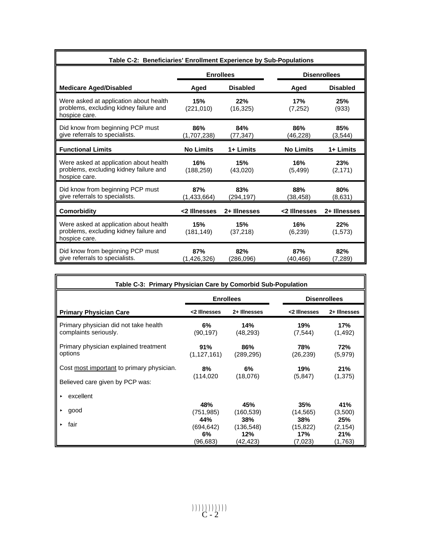| Table C-2: Beneficiaries' Enrollment Experience by Sub-Populations                                |                                         |                   |                  |                 |  |  |  |
|---------------------------------------------------------------------------------------------------|-----------------------------------------|-------------------|------------------|-----------------|--|--|--|
|                                                                                                   | <b>Enrollees</b><br><b>Disenrollees</b> |                   |                  |                 |  |  |  |
| <b>Medicare Aged/Disabled</b>                                                                     | Aged                                    | <b>Disabled</b>   | Aged             | <b>Disabled</b> |  |  |  |
| Were asked at application about health<br>problems, excluding kidney failure and<br>hospice care. | 15%<br>(221, 010)                       | 22%<br>(16, 325)  | 17%<br>(7,252)   | 25%<br>(933)    |  |  |  |
| Did know from beginning PCP must<br>give referrals to specialists.                                | 86%<br>(1,707,238)                      | 84%<br>(77,347)   | 86%<br>(46,228)  | 85%<br>(3,544)  |  |  |  |
| <b>Functional Limits</b>                                                                          | <b>No Limits</b>                        | 1+ Limits         | <b>No Limits</b> | 1+ Limits       |  |  |  |
| Were asked at application about health<br>problems, excluding kidney failure and<br>hospice care. | 16%<br>(188, 259)                       | 15%<br>(43,020)   | 16%<br>(5, 499)  | 23%<br>(2, 171) |  |  |  |
| Did know from beginning PCP must<br>give referrals to specialists.                                | 87%<br>(1,433,664)                      | 83%<br>(294, 197) | 88%<br>(38,458)  | 80%<br>(8,631)  |  |  |  |
| <b>Comorbidity</b>                                                                                | <2 Illnesses                            | 2+ Illnesses      | <2 Illnesses     | 2+ Illnesses    |  |  |  |
| Were asked at application about health<br>problems, excluding kidney failure and<br>hospice care. | 15%<br>(181, 149)                       | 15%<br>(37, 218)  | 16%<br>(6,239)   | 22%<br>(1,573)  |  |  |  |
| Did know from beginning PCP must<br>give referrals to specialists.                                | 87%<br>(1,426,326)                      | 82%<br>(286,096)  | 87%<br>(40.466)  | 82%<br>(7,289)  |  |  |  |

| Table C-3: Primary Physician Care by Comorbid Sub-Population                 |                                         |                                      |                                    |                                   |  |  |  |  |
|------------------------------------------------------------------------------|-----------------------------------------|--------------------------------------|------------------------------------|-----------------------------------|--|--|--|--|
|                                                                              | <b>Disenrollees</b><br><b>Enrollees</b> |                                      |                                    |                                   |  |  |  |  |
| <b>Primary Physician Care</b>                                                | <2 Illnesses                            | 2+ Illnesses                         | <2 Illnesses                       | 2+ Illnesses                      |  |  |  |  |
| Primary physician did not take health<br>complaints seriously.               | $6\%$<br>(90, 197)                      | 14%<br>(48, 293)                     | 19%<br>(7, 544)                    | 17%<br>(1, 492)                   |  |  |  |  |
| Primary physician explained treatment<br>options                             | 91%<br>(1, 127, 161)                    | 86%<br>(289, 295)                    | 78%<br>(26, 239)                   | 72%<br>(5,979)                    |  |  |  |  |
| Cost most important to primary physician.<br>Believed care given by PCP was: | 8%<br>(114, 020)                        | 6%<br>(18,076)                       | 19%<br>(5,847)                     | 21%<br>(1, 375)                   |  |  |  |  |
| excellent<br>×.                                                              |                                         |                                      |                                    |                                   |  |  |  |  |
| good<br>►                                                                    | 48%<br>(751,985)                        | 45%<br>(160, 539)                    | 35%<br>(14, 565)                   | 41%<br>(3,500)                    |  |  |  |  |
| fair<br>►                                                                    | 44%<br>(694, 642)<br>6%<br>(96,683)     | 38%<br>(136, 548)<br>12%<br>(42,423) | 38%<br>(15, 822)<br>17%<br>(7,023) | 25%<br>(2, 154)<br>21%<br>(1,763) |  |  |  |  |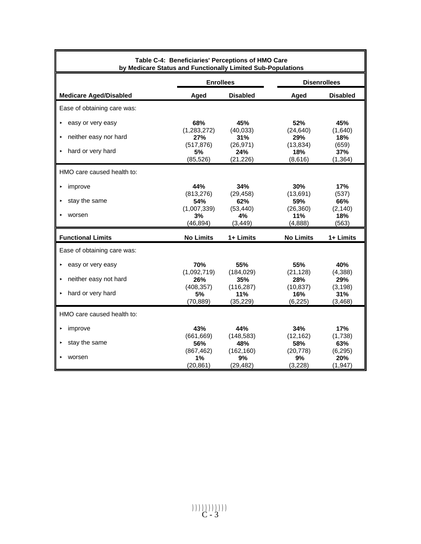| Table C-4: Beneficiaries' Perceptions of HMO Care<br>by Medicare Status and Functionally Limited Sub-Populations |                                 |                                 |                               |                             |  |  |
|------------------------------------------------------------------------------------------------------------------|---------------------------------|---------------------------------|-------------------------------|-----------------------------|--|--|
|                                                                                                                  | <b>Enrollees</b>                |                                 | <b>Disenrollees</b>           |                             |  |  |
| <b>Medicare Aged/Disabled</b>                                                                                    | Aged                            | <b>Disabled</b>                 | Aged                          | <b>Disabled</b>             |  |  |
| Ease of obtaining care was:                                                                                      |                                 |                                 |                               |                             |  |  |
| easy or very easy                                                                                                | 68%                             | 45%                             | 52%                           | 45%                         |  |  |
| neither easy nor hard                                                                                            | (1, 283, 272)<br>27%            | (40, 033)<br>31%                | (24, 640)<br>29%              | (1,640)<br>18%              |  |  |
| hard or very hard                                                                                                | (517, 876)<br>5%<br>(85, 526)   | (26, 971)<br>24%<br>(21, 226)   | (13, 834)<br>18%<br>(8,616)   | (659)<br>37%<br>(1, 364)    |  |  |
| HMO care caused health to:                                                                                       |                                 |                                 |                               |                             |  |  |
| improve                                                                                                          | 44%<br>(813, 276)               | 34%<br>(29, 458)                | 30%<br>(13,691)               | 17%<br>(537)                |  |  |
| stay the same                                                                                                    | 54%                             | 62%                             | 59%                           | 66%                         |  |  |
| worsen                                                                                                           | (1,007,339)<br>3%<br>(46, 894)  | (53, 440)<br>4%<br>(3, 449)     | (26, 360)<br>11%<br>(4,888)   | (2, 140)<br>18%<br>(563)    |  |  |
| <b>Functional Limits</b>                                                                                         | <b>No Limits</b>                | 1+ Limits                       | <b>No Limits</b>              | 1+ Limits                   |  |  |
| Ease of obtaining care was:                                                                                      |                                 |                                 |                               |                             |  |  |
| easy or very easy                                                                                                | 70%                             | 55%                             | 55%                           | 40%                         |  |  |
| neither easy not hard                                                                                            | (1,092,719)<br>26%              | (184, 029)<br>35%               | (21, 128)<br>28%              | (4,388)<br>29%              |  |  |
| hard or very hard                                                                                                | (408, 357)<br>5%<br>(70, 889)   | (116, 287)<br>11%<br>(35, 229)  | (10, 837)<br>16%<br>(6, 225)  | (3, 198)<br>31%<br>(3, 468) |  |  |
| HMO care caused health to:                                                                                       |                                 |                                 |                               |                             |  |  |
| improve                                                                                                          | 43%                             | 44%                             | 34%                           | 17%                         |  |  |
| stay the same                                                                                                    | (661, 669)<br>56%<br>(867, 462) | (148, 583)<br>48%<br>(162, 160) | (12, 162)<br>58%<br>(20, 778) | (1,738)<br>63%<br>(6, 295)  |  |  |
| worsen                                                                                                           | 1%<br>(20, 861)                 | 9%<br>(29, 482)                 | 9%<br>(3,228)                 | 20%<br>(1, 947)             |  |  |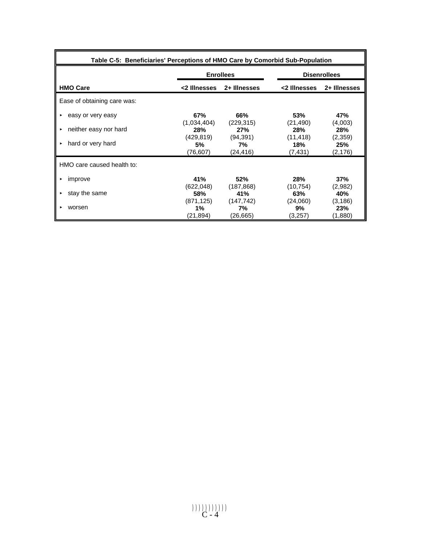| Table C-5: Beneficiaries' Perceptions of HMO Care by Comorbid Sub-Population |                               |                              |                             |                            |  |  |
|------------------------------------------------------------------------------|-------------------------------|------------------------------|-----------------------------|----------------------------|--|--|
|                                                                              |                               | <b>Enrollees</b>             |                             | <b>Disenrollees</b>        |  |  |
| <b>HMO Care</b>                                                              | <2 Illnesses                  | 2+ Illnesses                 | <2 Illnesses                | 2+ Illnesses               |  |  |
| Ease of obtaining care was:                                                  |                               |                              |                             |                            |  |  |
| easy or very easy<br>٠                                                       | 67%                           | 66%                          | 53%                         | 47%                        |  |  |
| neither easy nor hard<br>٠                                                   | (1,034,404)<br><b>28%</b>     | (229, 315)<br>27%            | (21, 490)<br><b>28%</b>     | (4,003)<br>28%             |  |  |
| hard or very hard<br>٠                                                       | (429, 819)<br>5%<br>(76, 607) | (94, 391)<br>7%<br>(24,416)  | (11, 418)<br>18%<br>(7,431) | (2,359)<br>25%<br>(2,176)  |  |  |
| HMO care caused health to:                                                   |                               |                              |                             |                            |  |  |
| improve                                                                      | 41%<br>(622, 048)             | 52%<br>(187, 868)            | 28%<br>(10, 754)            | 37%<br>(2,982)             |  |  |
| stay the same                                                                | 58%                           | 41%                          | 63%                         | 40%                        |  |  |
| worsen                                                                       | (871, 125)<br>1%<br>(21,894)  | (147, 742)<br>7%<br>(26,665) | (24,060)<br>9%<br>(3,257)   | (3, 186)<br>23%<br>(1,880) |  |  |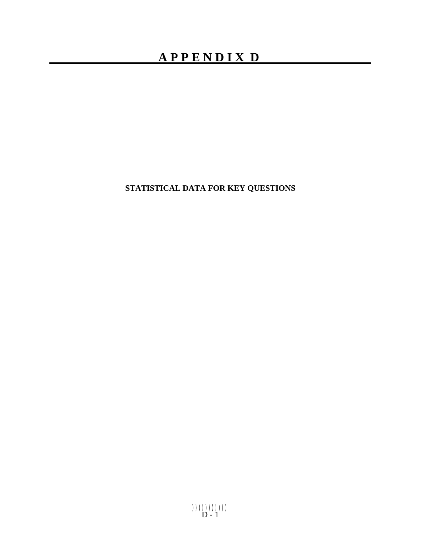# **APPENDIX D**

**STATISTICAL DATA FOR KEY QUESTIONS**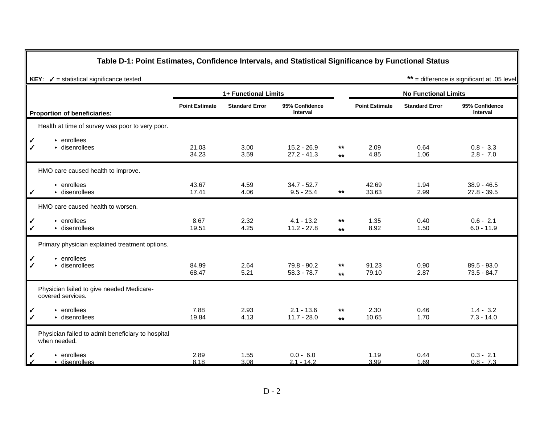#### **Table D-1: Point Estimates, Confidence Intervals, and Statistical Significance by Functional Status**

|                   |                                                                   | 1+ Functional Limits  |                       |                                |                |                       | <b>No Functional Limits</b> |                                   |
|-------------------|-------------------------------------------------------------------|-----------------------|-----------------------|--------------------------------|----------------|-----------------------|-----------------------------|-----------------------------------|
|                   | <b>Proportion of beneficiaries:</b>                               | <b>Point Estimate</b> | <b>Standard Error</b> | 95% Confidence<br>Interval     |                | <b>Point Estimate</b> | <b>Standard Error</b>       | 95% Confidence<br><b>Interval</b> |
|                   | Health at time of survey was poor to very poor.                   |                       |                       |                                |                |                       |                             |                                   |
| ✓<br>$\checkmark$ | $\triangleright$ enrollees<br>$\triangleright$ disenrollees       | 21.03<br>34.23        | 3.00<br>3.59          | $15.2 - 26.9$<br>$27.2 - 41.3$ | $***$<br>$***$ | 2.09<br>4.85          | 0.64<br>1.06                | $0.8 - 3.3$<br>$2.8 - 7.0$        |
|                   | HMO care caused health to improve.                                |                       |                       |                                |                |                       |                             |                                   |
| ✓                 | $\cdot$ enrollees<br>$\triangleright$ disenrollees                | 43.67<br>17.41        | 4.59<br>4.06          | $34.7 - 52.7$<br>$9.5 - 25.4$  | $***$          | 42.69<br>33.63        | 1.94<br>2.99                | $38.9 - 46.5$<br>$27.8 - 39.5$    |
|                   | HMO care caused health to worsen.                                 |                       |                       |                                |                |                       |                             |                                   |
| ✓<br>$\checkmark$ | $\triangleright$ enrollees<br>$\triangleright$ disenrollees       | 8.67<br>19.51         | 2.32<br>4.25          | $4.1 - 13.2$<br>$11.2 - 27.8$  | $***$<br>$***$ | 1.35<br>8.92          | 0.40<br>1.50                | $0.6 - 2.1$<br>$6.0 - 11.9$       |
|                   | Primary physician explained treatment options.                    |                       |                       |                                |                |                       |                             |                                   |
| ✓<br>$\checkmark$ | $\cdot$ enrollees<br>$\triangleright$ disenrollees                | 84.99<br>68.47        | 2.64<br>5.21          | 79.8 - 90.2<br>$58.3 - 78.7$   | $***$<br>$***$ | 91.23<br>79.10        | 0.90<br>2.87                | $89.5 - 93.0$<br>$73.5 - 84.7$    |
|                   | Physician failed to give needed Medicare-<br>covered services.    |                       |                       |                                |                |                       |                             |                                   |
| ✓<br>$\checkmark$ | $\triangleright$ enrollees<br>$\triangleright$ disenrollees       | 7.88<br>19.84         | 2.93<br>4.13          | $2.1 - 13.6$<br>$11.7 - 28.0$  | $***$<br>$***$ | 2.30<br>10.65         | 0.46<br>1.70                | $1.4 - 3.2$<br>$7.3 - 14.0$       |
|                   | Physician failed to admit beneficiary to hospital<br>when needed. |                       |                       |                                |                |                       |                             |                                   |
|                   | $\triangleright$ enrollees<br>$\cdot$ disenrollees                | 2.89<br>8.18          | 1.55<br>3.08          | $0.0 - 6.0$<br>$2.1 - 14.2$    |                | 1.19<br>3.99          | 0.44<br>1.69                | $0.3 - 2.1$<br>$0.8 - 7.3$        |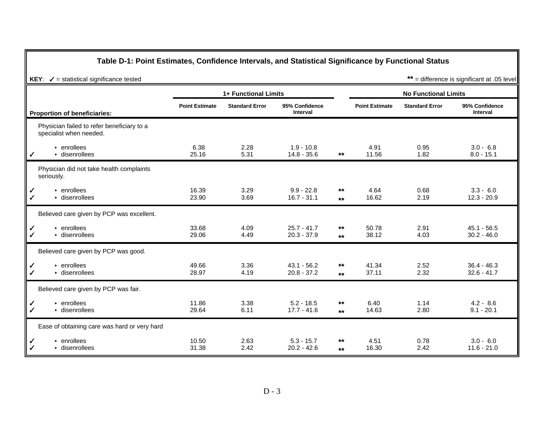#### **Table D-1: Point Estimates, Confidence Intervals, and Statistical Significance by Functional Status**

|                   |                                                                       | 1+ Functional Limits  |                       |                                   |                |                       | <b>No Functional Limits</b> |                                   |
|-------------------|-----------------------------------------------------------------------|-----------------------|-----------------------|-----------------------------------|----------------|-----------------------|-----------------------------|-----------------------------------|
|                   | <b>Proportion of beneficiaries:</b>                                   | <b>Point Estimate</b> | <b>Standard Error</b> | 95% Confidence<br><b>Interval</b> |                | <b>Point Estimate</b> | <b>Standard Error</b>       | 95% Confidence<br><b>Interval</b> |
|                   | Physician failed to refer beneficiary to a<br>specialist when needed. |                       |                       |                                   |                |                       |                             |                                   |
| ✓                 | $\triangleright$ enrollees<br>$\triangleright$ disenrollees           | 6.38<br>25.16         | 2.28<br>5.31          | $1.9 - 10.8$<br>$14.8 - 35.6$     | $***$          | 4.91<br>11.56         | 0.95<br>1.82                | $3.0 - 6.8$<br>$8.0 - 15.1$       |
|                   | Physician did not take health complaints<br>seriously.                |                       |                       |                                   |                |                       |                             |                                   |
| ✓<br>$\checkmark$ | $\triangleright$ enrollees<br>$\cdot$ disenrollees                    | 16.39<br>23.90        | 3.29<br>3.69          | $9.9 - 22.8$<br>$16.7 - 31.1$     | $***$<br>$***$ | 4.64<br>16.62         | 0.68<br>2.19                | $3.3 - 6.0$<br>$12.3 - 20.9$      |
|                   | Believed care given by PCP was excellent.                             |                       |                       |                                   |                |                       |                             |                                   |
| ✓<br>✔            | $\triangleright$ enrollees<br>$\triangleright$ disenrollees           | 33.68<br>29.06        | 4.09<br>4.49          | $25.7 - 41.7$<br>$20.3 - 37.9$    | **<br>$***$    | 50.78<br>38.12        | 2.91<br>4.03                | $45.1 - 56.5$<br>$30.2 - 46.0$    |
|                   | Believed care given by PCP was good.                                  |                       |                       |                                   |                |                       |                             |                                   |
| ✓<br>$\checkmark$ | $\triangleright$ enrollees<br>$\triangleright$ disenrollees           | 49.66<br>28.97        | 3.36<br>4.19          | $43.1 - 56.2$<br>$20.8 - 37.2$    | $***$<br>$**$  | 41.34<br>37.11        | 2.52<br>2.32                | $36.4 - 46.3$<br>$32.6 - 41.7$    |
|                   | Believed care given by PCP was fair.                                  |                       |                       |                                   |                |                       |                             |                                   |
| ✓<br>$\checkmark$ | $\triangleright$ enrollees<br>$\triangleright$ disenrollees           | 11.86<br>29.64        | 3.38<br>6.11          | $5.2 - 18.5$<br>$17.7 - 41.6$     | $***$<br>$**$  | 6.40<br>14.63         | 1.14<br>2.80                | $4.2 - 8.6$<br>$9.1 - 20.1$       |
|                   | Ease of obtaining care was hard or very hard                          |                       |                       |                                   |                |                       |                             |                                   |
| ✓<br>$\checkmark$ | $\cdot$ enrollees<br>$\triangleright$ disenrollees                    | 10.50<br>31.38        | 2.63<br>2.42          | $5.3 - 15.7$<br>$20.2 - 42.6$     | $***$<br>$**$  | 4.51<br>16.30         | 0.78<br>2.42                | $3.0 - 6.0$<br>$11.6 - 21.0$      |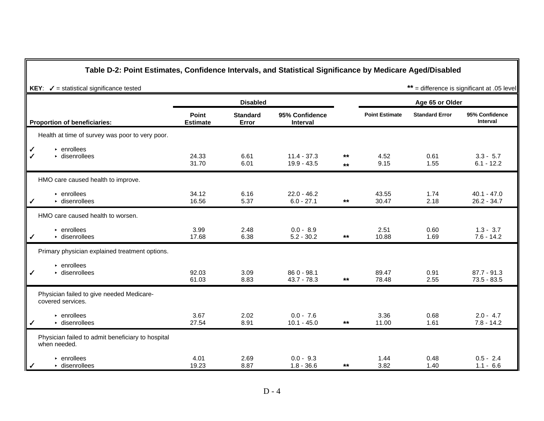#### **Table D-2: Point Estimates, Confidence Intervals, and Statistical Significance by Medicare Aged/Disabled**

|                                                                               |                                 | <b>Disabled</b>          |                                |               |                       | Age 65 or Older       |                                |
|-------------------------------------------------------------------------------|---------------------------------|--------------------------|--------------------------------|---------------|-----------------------|-----------------------|--------------------------------|
| <b>Proportion of beneficiaries:</b>                                           | <b>Point</b><br><b>Estimate</b> | <b>Standard</b><br>Error | 95% Confidence<br>Interval     |               | <b>Point Estimate</b> | <b>Standard Error</b> | 95% Confidence<br>Interval     |
| Health at time of survey was poor to very poor.                               |                                 |                          |                                |               |                       |                       |                                |
| $\vert\!angle$<br>$\triangleright$ enrollees<br>$\triangleright$ disenrollees | 24.33<br>31.70                  | 6.61<br>6.01             | $11.4 - 37.3$<br>$19.9 - 43.5$ | $***$<br>$**$ | 4.52<br>9.15          | 0.61<br>1.55          | $3.3 - 5.7$<br>$6.1 - 12.2$    |
| HMO care caused health to improve.                                            |                                 |                          |                                |               |                       |                       |                                |
| $\triangleright$ enrollees<br>$\triangleright$ disenrollees<br>$\checkmark$   | 34.12<br>16.56                  | 6.16<br>5.37             | $22.0 - 46.2$<br>$6.0 - 27.1$  | $***$         | 43.55<br>30.47        | 1.74<br>2.18          | $40.1 - 47.0$<br>$26.2 - 34.7$ |
| HMO care caused health to worsen.                                             |                                 |                          |                                |               |                       |                       |                                |
| $\triangleright$ enrollees<br>$\triangleright$ disenrollees<br>$\checkmark$   | 3.99<br>17.68                   | 2.48<br>6.38             | $0.0 - 8.9$<br>$5.2 - 30.2$    | $***$         | 2.51<br>10.88         | 0.60<br>1.69          | $1.3 - 3.7$<br>$7.6 - 14.2$    |
| Primary physician explained treatment options.                                |                                 |                          |                                |               |                       |                       |                                |
| $\triangleright$ enrollees<br>$\triangleright$ disenrollees<br>╹              | 92.03<br>61.03                  | 3.09<br>8.83             | 86 0 - 98.1<br>$43.7 - 78.3$   | $***$         | 89.47<br>78.48        | 0.91<br>2.55          | $87.7 - 91.3$<br>$73.5 - 83.5$ |
| Physician failed to give needed Medicare-<br>covered services.                |                                 |                          |                                |               |                       |                       |                                |
| $\triangleright$ enrollees<br>$\triangleright$ disenrollees<br>$\checkmark$   | 3.67<br>27.54                   | 2.02<br>8.91             | $0.0 - 7.6$<br>$10.1 - 45.0$   | $***$         | 3.36<br>11.00         | 0.68<br>1.61          | $2.0 - 4.7$<br>$7.8 - 14.2$    |
| Physician failed to admit beneficiary to hospital<br>when needed.             |                                 |                          |                                |               |                       |                       |                                |
| $\cdot$ enrollees<br>$\triangleright$ disenrollees<br>┃✓                      | 4.01<br>19.23                   | 2.69<br>8.87             | $0.0 - 9.3$<br>$1.8 - 36.6$    | $***$         | 1.44<br>3.82          | 0.48<br>1.40          | $0.5 - 2.4$<br>$1.1 - 6.6$     |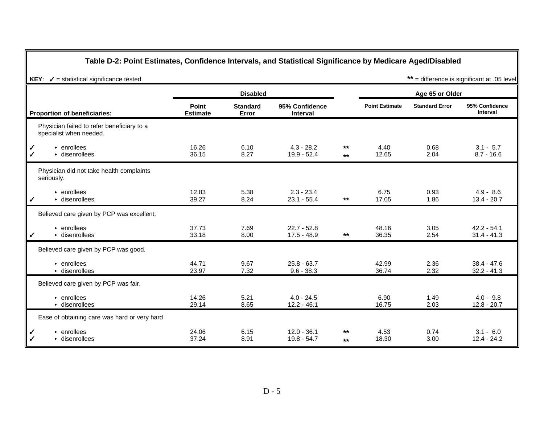### **Table D-2: Point Estimates, Confidence Intervals, and Statistical Significance by Medicare Aged/Disabled**

|                                                                                    |                          | <b>Disabled</b>          |                                   |              |                       | Age 65 or Older       |                                   |
|------------------------------------------------------------------------------------|--------------------------|--------------------------|-----------------------------------|--------------|-----------------------|-----------------------|-----------------------------------|
| <b>Proportion of beneficiaries:</b>                                                | Point<br><b>Estimate</b> | <b>Standard</b><br>Error | 95% Confidence<br><b>Interval</b> |              | <b>Point Estimate</b> | <b>Standard Error</b> | 95% Confidence<br><b>Interval</b> |
| Physician failed to refer beneficiary to a<br>specialist when needed.              |                          |                          |                                   |              |                       |                       |                                   |
| $\checkmark$<br>$\cdot$ enrollees<br>$\triangleright$ disenrollees<br>$\checkmark$ | 16.26<br>36.15           | 6.10<br>8.27             | $4.3 - 28.2$<br>$19.9 - 52.4$     | $**$<br>$**$ | 4.40<br>12.65         | 0.68<br>2.04          | $3.1 - 5.7$<br>$8.7 - 16.6$       |
| Physician did not take health complaints<br>seriously.                             |                          |                          |                                   |              |                       |                       |                                   |
| $\cdot$ enrollees<br>$\triangleright$ disenrollees<br>$\checkmark$                 | 12.83<br>39.27           | 5.38<br>8.24             | $2.3 - 23.4$<br>$23.1 - 55.4$     | $***$        | 6.75<br>17.05         | 0.93<br>1.86          | $4.9 - 8.6$<br>$13.4 - 20.7$      |
| Believed care given by PCP was excellent.                                          |                          |                          |                                   |              |                       |                       |                                   |
| $\triangleright$ enrollees<br>$\triangleright$ disenrollees<br>$\checkmark$        | 37.73<br>33.18           | 7.69<br>8.00             | $22.7 - 52.8$<br>$17.5 - 48.9$    | $**$         | 48.16<br>36.35        | 3.05<br>2.54          | $42.2 - 54.1$<br>$31.4 - 41.3$    |
| Believed care given by PCP was good.                                               |                          |                          |                                   |              |                       |                       |                                   |
| $\triangleright$ enrollees<br>$\triangleright$ disenrollees                        | 44.71<br>23.97           | 9.67<br>7.32             | $25.8 - 63.7$<br>$9.6 - 38.3$     |              | 42.99<br>36.74        | 2.36<br>2.32          | $38.4 - 47.6$<br>$32.2 - 41.3$    |
| Believed care given by PCP was fair.                                               |                          |                          |                                   |              |                       |                       |                                   |
| $\cdot$ enrollees<br>$\triangleright$ disenrollees                                 | 14.26<br>29.14           | 5.21<br>8.65             | $4.0 - 24.5$<br>$12.2 - 46.1$     |              | 6.90<br>16.75         | 1.49<br>2.03          | $4.0 - 9.8$<br>$12.8 - 20.7$      |
| Ease of obtaining care was hard or very hard                                       |                          |                          |                                   |              |                       |                       |                                   |
| $\cdot$ enrollees<br>$\checkmark$<br>$\triangleright$ disenrollees<br>$\checkmark$ | 24.06<br>37.24           | 6.15<br>8.91             | $12.0 - 36.1$<br>$19.8 - 54.7$    | $**$<br>$**$ | 4.53<br>18.30         | 0.74<br>3.00          | $3.1 - 6.0$<br>$12.4 - 24.2$      |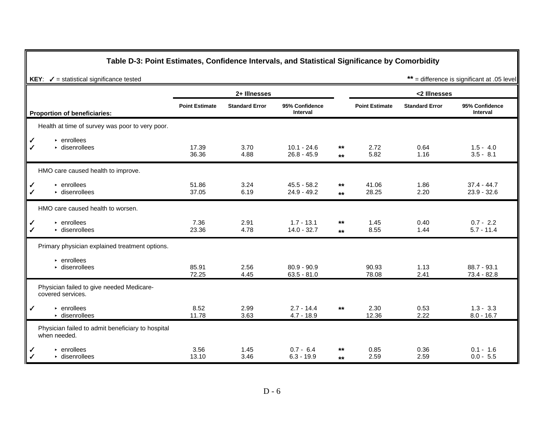#### **Table D-3: Point Estimates, Confidence Intervals, and Statistical Significance by Comorbidity**

|                                                                         |                       | 2+ Illnesses          |                                |                |                       | <2 Illnesses          |                                   |
|-------------------------------------------------------------------------|-----------------------|-----------------------|--------------------------------|----------------|-----------------------|-----------------------|-----------------------------------|
| <b>Proportion of beneficiaries:</b>                                     | <b>Point Estimate</b> | <b>Standard Error</b> | 95% Confidence<br>Interval     |                | <b>Point Estimate</b> | <b>Standard Error</b> | 95% Confidence<br><b>Interval</b> |
| Health at time of survey was poor to very poor.                         |                       |                       |                                |                |                       |                       |                                   |
| $\cdot$ enrollees<br>✓<br>$\checkmark$<br>$\triangleright$ disenrollees | 17.39<br>36.36        | 3.70<br>4.88          | $10.1 - 24.6$<br>$26.8 - 45.9$ | $***$<br>$***$ | 2.72<br>5.82          | 0.64<br>1.16          | $1.5 - 4.0$<br>$3.5 - 8.1$        |
| HMO care caused health to improve.                                      |                       |                       |                                |                |                       |                       |                                   |
| $\cdot$ enrollees<br>✓<br>$\triangleright$ disenrollees<br>✓            | 51.86<br>37.05        | 3.24<br>6.19          | $45.5 - 58.2$<br>$24.9 - 49.2$ | $***$<br>$***$ | 41.06<br>28.25        | 1.86<br>2.20          | $37.4 - 44.7$<br>$23.9 - 32.6$    |
| HMO care caused health to worsen.                                       |                       |                       |                                |                |                       |                       |                                   |
| $\triangleright$ enrollees<br>✓<br>$\triangleright$ disenrollees<br>✓   | 7.36<br>23.36         | 2.91<br>4.78          | $1.7 - 13.1$<br>$14.0 - 32.7$  | $***$<br>$***$ | 1.45<br>8.55          | 0.40<br>1.44          | $0.7 - 2.2$<br>$5.7 - 11.4$       |
| Primary physician explained treatment options.                          |                       |                       |                                |                |                       |                       |                                   |
| $\triangleright$ enrollees<br>$\triangleright$ disenrollees             | 85.91<br>72.25        | 2.56<br>4.45          | $80.9 - 90.9$<br>$63.5 - 81.0$ |                | 90.93<br>78.08        | 1.13<br>2.41          | $88.7 - 93.1$<br>$73.4 - 82.8$    |
| Physician failed to give needed Medicare-<br>covered services.          |                       |                       |                                |                |                       |                       |                                   |
| $\cdot$ enrollees<br>✓<br>$\triangleright$ disenrollees                 | 8.52<br>11.78         | 2.99<br>3.63          | $2.7 - 14.4$<br>$4.7 - 18.9$   | $***$          | 2.30<br>12.36         | 0.53<br>2.22          | $1.3 - 3.3$<br>$8.0 - 16.7$       |
| Physician failed to admit beneficiary to hospital<br>when needed.       |                       |                       |                                |                |                       |                       |                                   |
| $\cdot$ enrollees<br>✓<br>$\triangleright$ disenrollees<br>$\checkmark$ | 3.56<br>13.10         | 1.45<br>3.46          | $0.7 - 6.4$<br>$6.3 - 19.9$    | $***$<br>$**$  | 0.85<br>2.59          | 0.36<br>2.59          | $0.1 - 1.6$<br>$0.0 - 5.5$        |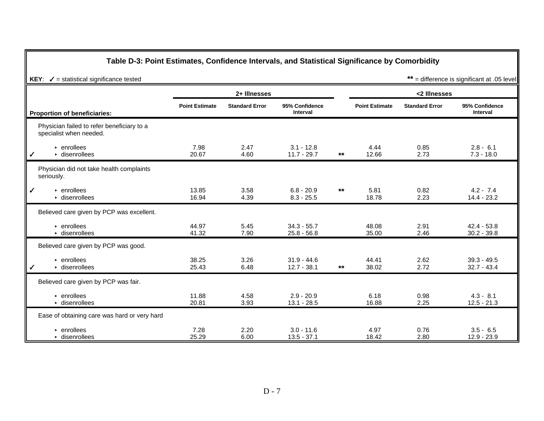#### **Table D-3: Point Estimates, Confidence Intervals, and Statistical Significance by Comorbidity**

|                                                                       |                       | 2+ Illnesses          |                                   |       |                       | <2 Illnesses          |                                   |
|-----------------------------------------------------------------------|-----------------------|-----------------------|-----------------------------------|-------|-----------------------|-----------------------|-----------------------------------|
| <b>Proportion of beneficiaries:</b>                                   | <b>Point Estimate</b> | <b>Standard Error</b> | 95% Confidence<br><b>Interval</b> |       | <b>Point Estimate</b> | <b>Standard Error</b> | 95% Confidence<br><b>Interval</b> |
| Physician failed to refer beneficiary to a<br>specialist when needed. |                       |                       |                                   |       |                       |                       |                                   |
| $\triangleright$ enrollees<br>$\triangleright$ disenrollees<br>╹      | 7.98<br>20.67         | 2.47<br>4.60          | $3.1 - 12.8$<br>$11.7 - 29.7$     | $***$ | 4.44<br>12.66         | 0.85<br>2.73          | $2.8 - 6.1$<br>$7.3 - 18.0$       |
| Physician did not take health complaints<br>seriously.                |                       |                       |                                   |       |                       |                       |                                   |
| ┃✓<br>$\cdot$ enrollees<br>$\triangleright$ disenrollees              | 13.85<br>16.94        | 3.58<br>4.39          | $6.8 - 20.9$<br>$8.3 - 25.5$      | $***$ | 5.81<br>18.78         | 0.82<br>2.23          | $4.2 - 7.4$<br>$14.4 - 23.2$      |
| Believed care given by PCP was excellent.                             |                       |                       |                                   |       |                       |                       |                                   |
| $\triangleright$ enrollees<br>• disenrollees                          | 44.97<br>41.32        | 5.45<br>7.90          | $34.3 - 55.7$<br>$25.8 - 56.8$    |       | 48.08<br>35.00        | 2.91<br>2.46          | $42.4 - 53.8$<br>$30.2 - 39.8$    |
| Believed care given by PCP was good.                                  |                       |                       |                                   |       |                       |                       |                                   |
| $\triangleright$ enrollees<br>$\triangleright$ disenrollees<br>✓      | 38.25<br>25.43        | 3.26<br>6.48          | $31.9 - 44.6$<br>$12.7 - 38.1$    | $***$ | 44.41<br>38.02        | 2.62<br>2.72          | $39.3 - 49.5$<br>$32.7 - 43.4$    |
| Believed care given by PCP was fair.                                  |                       |                       |                                   |       |                       |                       |                                   |
| $\triangleright$ enrollees<br>$\triangleright$ disenrollees           | 11.88<br>20.81        | 4.58<br>3.93          | $2.9 - 20.9$<br>$13.1 - 28.5$     |       | 6.18<br>16.88         | 0.98<br>2.25          | $4.3 - 8.1$<br>$12.5 - 21.3$      |
| Ease of obtaining care was hard or very hard                          |                       |                       |                                   |       |                       |                       |                                   |
| $\triangleright$ enrollees<br>$\triangleright$ disenrollees           | 7.28<br>25.29         | 2.20<br>6.00          | $3.0 - 11.6$<br>$13.5 - 37.1$     |       | 4.97<br>18.42         | 0.76<br>2.80          | $3.5 - 6.5$<br>12.9 - 23.9        |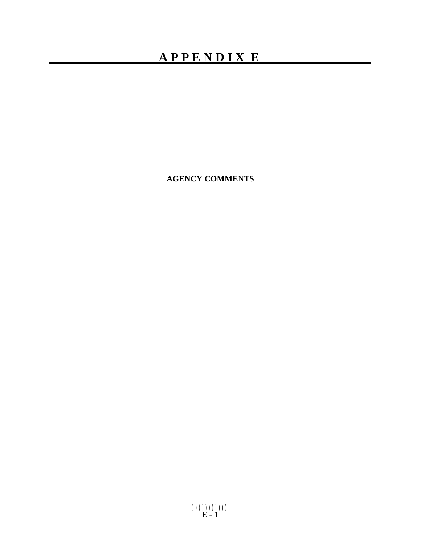# **APPENDIX E**

**AGENCY COMMENTS**

))))))))))) E - 1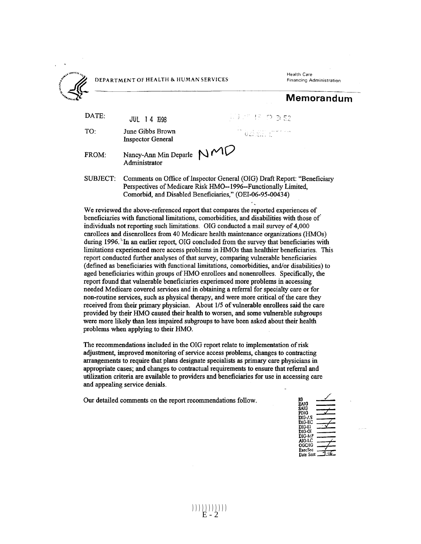

DEPARTMENT OF HEALTH & HUMAN SERVICES

Health Care **Financing Administration** 

Memorandum

| DATE: | JUL 14 1998                                                  | 고그 너 그만 다 더 더 되?                         |
|-------|--------------------------------------------------------------|------------------------------------------|
| TO:   | June Gibbs Brown<br><b>Inspector General</b>                 | <sup>17</sup> GENERI H <sup>URL</sup> AN |
| FROM: | Nancy-Ann Min Deparle $NMC$<br>Administrator                 |                                          |
|       | $Comman$ ts on Office of Inspector General (OIG) Droft Depot |                                          |

Comments on Office of Inspector General (OIG) Draft Report: "Beneficiary Perspectives of Medicare Risk HMO--1996--Functionally Limited. Comorbid, and Disabled Beneficiaries," (OEI-06-95-00434)

We reviewed the above-referenced report that compares the reported experiences of beneficiaries with functional limitations, comorbidities, and disabilities with those of individuals not reporting such limitations. OIG conducted a mail survey of 4,000 enrollees and disenrollees from 40 Medicare health maintenance organizations (HMOs) during 1996. In an earlier report, OIG concluded from the survey that beneficiaries with limitations experienced more access problems in HMOs than healthier beneficiaries. This report conducted further analyses of that survey, comparing vulnerable beneficiaries (defined as beneficiaries with functional limitations, comorbidities, and/or disabilities) to aged beneficiaries within groups of HMO enrollees and nonenrollees. Specifically, the report found that vulnerable beneficiaries experienced more problems in accessing needed Medicare covered services and in obtaining a referral for specialty care or for non-routine services, such as physical therapy, and were more critical of the care they received from their primary physician. About 1/5 of vulnerable enrollees said the care provided by their HMO caused their health to worsen, and some vulnerable subgroups were more likely than less impaired subgroups to have been asked about their health problems when applying to their HMO.

The recommendations included in the OIG report relate to implementation of risk adjustment, improved monitoring of service access problems, changes to contracting arrangements to require that plans designate specialists as primary care physicians in appropriate cases: and changes to contractual requirements to ensure that referral and utilization criteria are available to providers and beneficiaries for use in accessing care and appealing service denials.

Our detailed comments on the report recommendations follow.

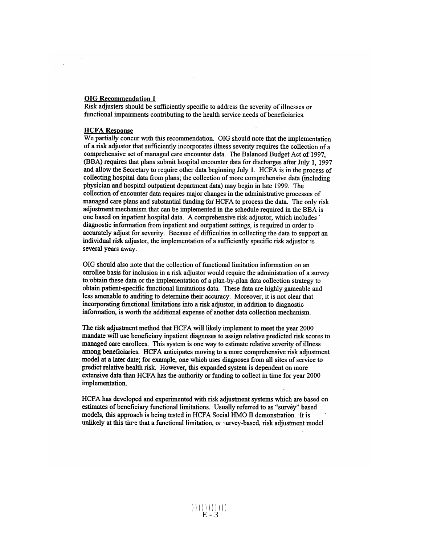#### **OIG Recommendation 1**

Risk adjusters should be sufficiently specific to address the severity of illnesses or functional impairments contributing to the health service needs of beneficiaries.

#### **HCFA Response**

We partially concur with this recommendation. OIG should note that the implementation of a risk adjustor that sufficiently incorporates illness severity requires the collection of a comprehensive set of managed care encounter data. The Balanced Budget Act of 1997. (BBA) requires that plans submit hospital encounter data for discharges after July 1, 1997 and allow the Secretary to require other data beginning July 1. HCFA is in the process of collecting hospital data from plans; the collection of more comprehensive data (including physician and hospital outpatient department data) may begin in late 1999. The collection of encounter data requires major changes in the administrative processes of managed care plans and substantial funding for HCFA to process the data. The only risk adjustment mechanism that can be implemented in the schedule required in the BBA is one based on inpatient hospital data. A comprehensive risk adjustor, which includes diagnostic information from inpatient and outpatient settings, is required in order to accurately adjust for severity. Because of difficulties in collecting the data to support an individual risk adjustor, the implementation of a sufficiently specific risk adjustor is several years away.

OIG should also note that the collection of functional limitation information on an enrollee basis for inclusion in a risk adjustor would require the administration of a survey to obtain these data or the implementation of a plan-by-plan data collection strategy to obtain patient-specific functional limitations data. These data are highly gameable and less amenable to auditing to determine their accuracy. Moreover, it is not clear that incorporating functional limitations into a risk adjustor, in addition to diagnostic information, is worth the additional expense of another data collection mechanism.

The risk adjustment method that HCFA will likely implement to meet the year 2000 mandate will use beneficiary inpatient diagnoses to assign relative predicted risk scores to managed care enrollees. This system is one way to estimate relative severity of illness among beneficiaries. HCFA anticipates moving to a more comprehensive risk adjustment model at a later date; for example, one which uses diagnoses from all sites of service to predict relative health risk. However, this expanded system is dependent on more extensive data than HCFA has the authority or funding to collect in time for year 2000 implementation.

HCFA has developed and experimented with risk adjustment systems which are based on estimates of beneficiary functional limitations. Usually referred to as "survey" based models, this approach is being tested in HCFA Social HMO II demonstration. It is unlikely at this time that a functional limitation, or survey-based, risk adjustment model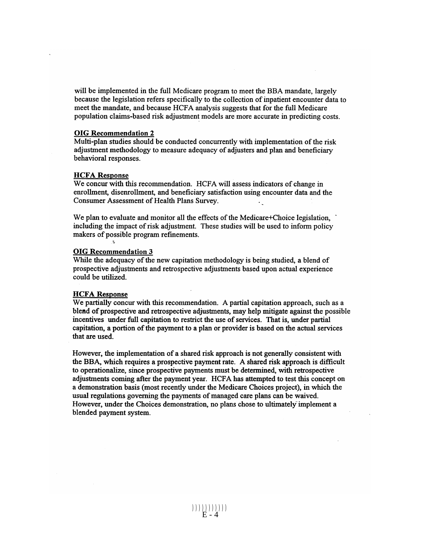will be implemented in the full Medicare program to meet the BBA mandate, largely because the legislation refers specifically to the collection of inpatient encounter data to meet the mandate, and because HCFA analysis suggests that for the full Medicare population claims-based risk adjustment models are more accurate in predicting costs.

#### **OIG Recommendation 2**

Multi-plan studies should be conducted concurrently with implementation of the risk adjustment methodology to measure adequacy of adjusters and plan and beneficiary behavioral responses.

#### **HCFA Response**

We concur with this recommendation. HCFA will assess indicators of change in enrollment, disenrollment, and beneficiary satisfaction using encounter data and the Consumer Assessment of Health Plans Survey.

We plan to evaluate and monitor all the effects of the Medicare+Choice legislation, including the impact of risk adjustment. These studies will be used to inform policy makers of possible program refinements.

#### **OIG Recommendation 3**

While the adequacy of the new capitation methodology is being studied, a blend of prospective adjustments and retrospective adjustments based upon actual experience could be utilized.

#### **HCFA Response**

We partially concur with this recommendation. A partial capitation approach, such as a blend of prospective and retrospective adjustments, may help mitigate against the possible incentives under full capitation to restrict the use of services. That is, under partial capitation, a portion of the payment to a plan or provider is based on the actual services that are used.

However, the implementation of a shared risk approach is not generally consistent with the BBA, which requires a prospective payment rate. A shared risk approach is difficult to operationalize, since prospective payments must be determined, with retrospective adjustments coming after the payment year. HCFA has attempted to test this concept on a demonstration basis (most recently under the Medicare Choices project), in which the usual regulations governing the payments of managed care plans can be waived. However, under the Choices demonstration, no plans chose to ultimately implement a blended payment system.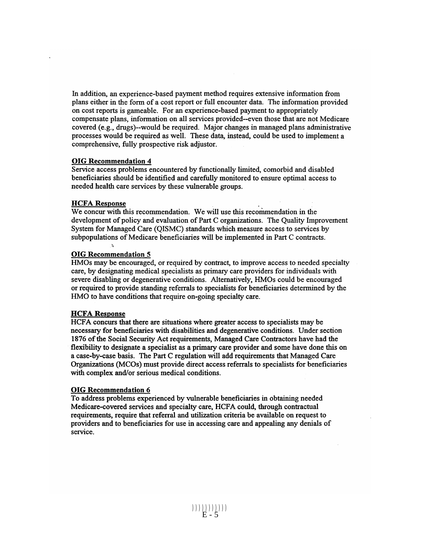In addition, an experience-based payment method requires extensive information from plans either in the form of a cost report or full encounter data. The information provided on cost reports is gameable. For an experience-based payment to appropriately compensate plans, information on all services provided--even those that are not Medicare covered (e.g., drugs)--would be required. Major changes in managed plans administrative processes would be required as well. These data, instead, could be used to implement a comprehensive, fully prospective risk adjustor.

#### **OIG Recommendation 4**

Service access problems encountered by functionally limited, comorbid and disabled beneficiaries should be identified and carefully monitored to ensure optimal access to needed health care services by these vulnerable groups.

#### **HCFA Response**

We concur with this recommendation. We will use this recommendation in the development of policy and evaluation of Part C organizations. The Quality Improvement System for Managed Care (QISMC) standards which measure access to services by subpopulations of Medicare beneficiaries will be implemented in Part C contracts.

#### **OIG Recommendation 5**

HMOs may be encouraged, or required by contract, to improve access to needed specialty care, by designating medical specialists as primary care providers for individuals with severe disabling or degenerative conditions. Alternatively, HMOs could be encouraged or required to provide standing referrals to specialists for beneficiaries determined by the HMO to have conditions that require on-going specialty care.

#### **HCFA Response**

HCFA concurs that there are situations where greater access to specialists may be necessary for beneficiaries with disabilities and degenerative conditions. Under section 1876 of the Social Security Act requirements, Managed Care Contractors have had the flexibility to designate a specialist as a primary care provider and some have done this on a case-by-case basis. The Part C regulation will add requirements that Managed Care Organizations (MCOs) must provide direct access referrals to specialists for beneficiaries with complex and/or serious medical conditions.

#### **OIG Recommendation 6**

To address problems experienced by vulnerable beneficiaries in obtaining needed Medicare-covered services and specialty care, HCFA could, through contractual requirements, require that referral and utilization criteria be available on request to providers and to beneficiaries for use in accessing care and appealing any denials of service.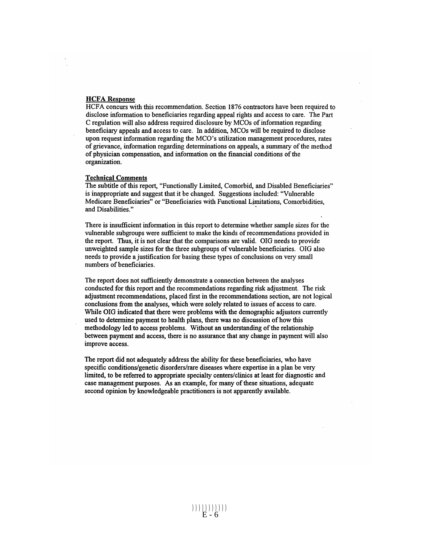#### **HCFA Response**

HCFA concurs with this recommendation. Section 1876 contractors have been required to disclose information to beneficiaries regarding appeal rights and access to care. The Part C regulation will also address required disclosure by MCOs of information regarding beneficiary appeals and access to care. In addition, MCOs will be required to disclose upon request information regarding the MCO's utilization management procedures, rates of grievance, information regarding determinations on appeals, a summary of the method of physician compensation, and information on the financial conditions of the organization.

#### **Technical Comments**

The subtitle of this report, "Functionally Limited, Comorbid, and Disabled Beneficiaries" is inappropriate and suggest that it be changed. Suggestions included: "Vulnerable Medicare Beneficiaries" or "Beneficiaries with Functional Limitations, Comorbidities, and Disabilities."

There is insufficient information in this report to determine whether sample sizes for the vulnerable subgroups were sufficient to make the kinds of recommendations provided in the report. Thus, it is not clear that the comparisons are valid. OIG needs to provide unweighted sample sizes for the three subgroups of vulnerable beneficiaries. OIG also needs to provide a justification for basing these types of conclusions on very small numbers of beneficiaries.

The report does not sufficiently demonstrate a connection between the analyses conducted for this report and the recommendations regarding risk adjustment. The risk adjustment recommendations, placed first in the recommendations section, are not logical conclusions from the analyses, which were solely related to issues of access to care. While OIG indicated that there were problems with the demographic adjustors currently used to determine payment to health plans, there was no discussion of how this methodology led to access problems. Without an understanding of the relationship between payment and access, there is no assurance that any change in payment will also improve access.

The report did not adequately address the ability for these beneficiaries, who have specific conditions/genetic disorders/rare diseases where expertise in a plan be very limited, to be referred to appropriate specialty centers/clinics at least for diagnostic and case management purposes. As an example, for many of these situations, adequate second opinion by knowledgeable practitioners is not apparently available.